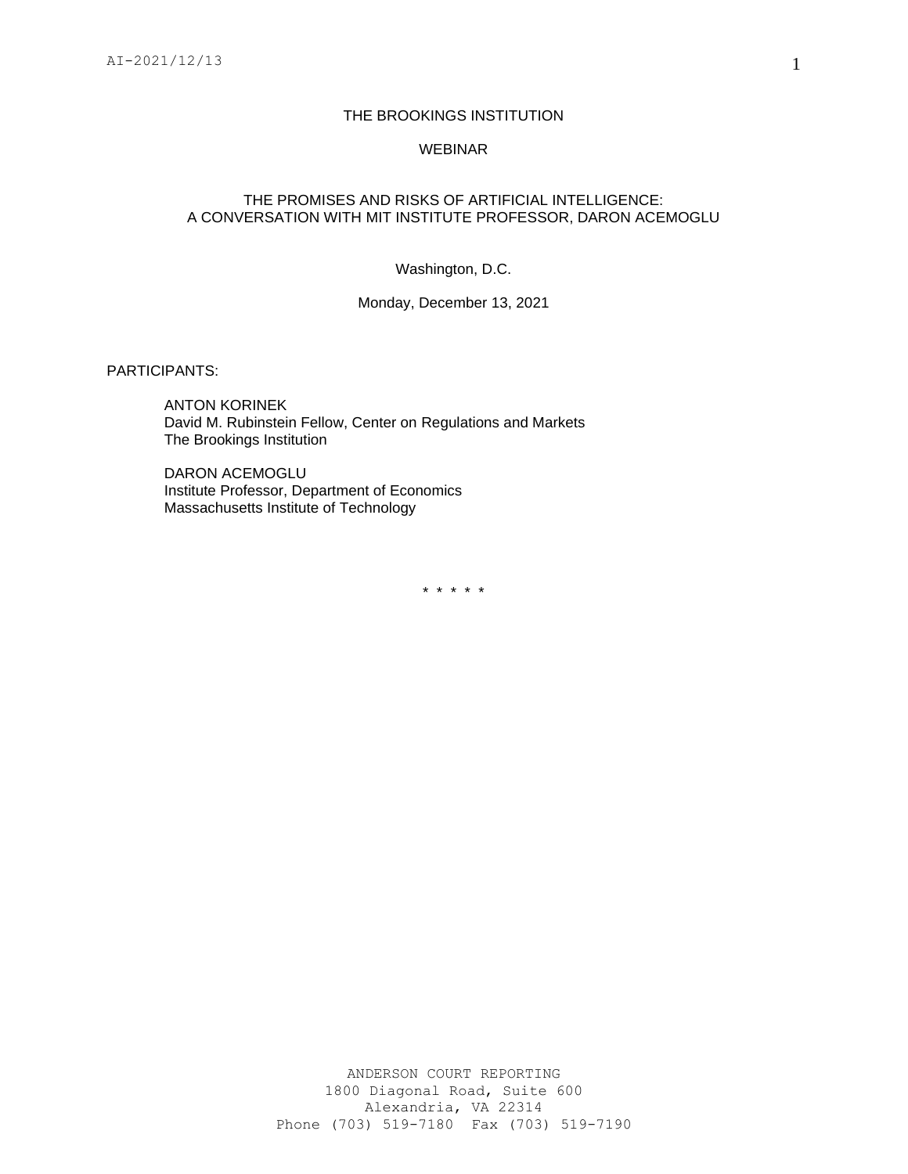## THE BROOKINGS INSTITUTION

#### WEBINAR

### THE PROMISES AND RISKS OF ARTIFICIAL INTELLIGENCE: A CONVERSATION WITH MIT INSTITUTE PROFESSOR, DARON ACEMOGLU

Washington, D.C.

Monday, December 13, 2021

PARTICIPANTS:

ANTON KORINEK David M. Rubinstein Fellow, Center on Regulations and Markets The Brookings Institution

DARON ACEMOGLU Institute Professor, Department of Economics Massachusetts Institute of Technology

\* \* \* \* \*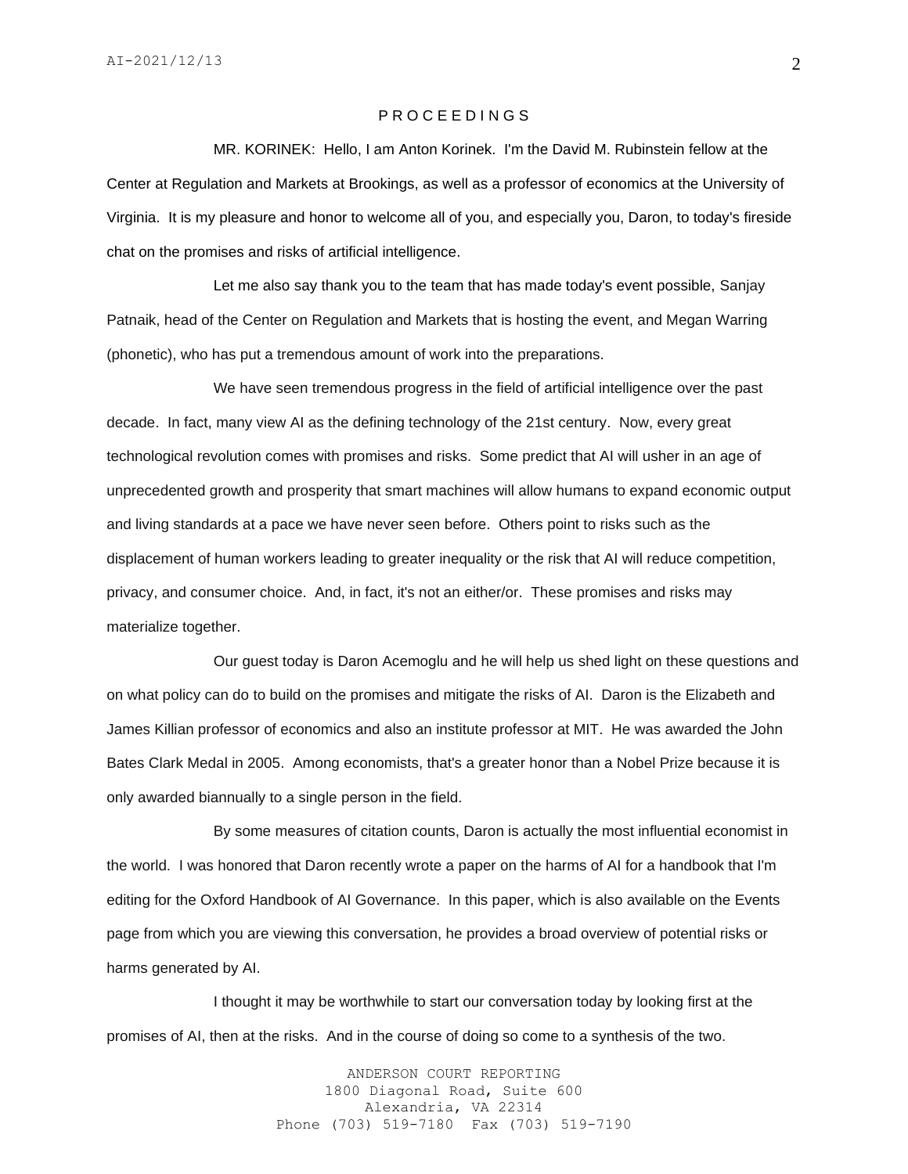#### P R O C E E D I N G S

MR. KORINEK: Hello, I am Anton Korinek. I'm the David M. Rubinstein fellow at the Center at Regulation and Markets at Brookings, as well as a professor of economics at the University of Virginia. It is my pleasure and honor to welcome all of you, and especially you, Daron, to today's fireside chat on the promises and risks of artificial intelligence.

Let me also say thank you to the team that has made today's event possible, Sanjay Patnaik, head of the Center on Regulation and Markets that is hosting the event, and Megan Warring (phonetic), who has put a tremendous amount of work into the preparations.

We have seen tremendous progress in the field of artificial intelligence over the past decade. In fact, many view AI as the defining technology of the 21st century. Now, every great technological revolution comes with promises and risks. Some predict that AI will usher in an age of unprecedented growth and prosperity that smart machines will allow humans to expand economic output and living standards at a pace we have never seen before. Others point to risks such as the displacement of human workers leading to greater inequality or the risk that AI will reduce competition, privacy, and consumer choice. And, in fact, it's not an either/or. These promises and risks may materialize together.

Our guest today is Daron Acemoglu and he will help us shed light on these questions and on what policy can do to build on the promises and mitigate the risks of AI. Daron is the Elizabeth and James Killian professor of economics and also an institute professor at MIT. He was awarded the John Bates Clark Medal in 2005. Among economists, that's a greater honor than a Nobel Prize because it is only awarded biannually to a single person in the field.

By some measures of citation counts, Daron is actually the most influential economist in the world. I was honored that Daron recently wrote a paper on the harms of AI for a handbook that I'm editing for the Oxford Handbook of AI Governance. In this paper, which is also available on the Events page from which you are viewing this conversation, he provides a broad overview of potential risks or harms generated by AI.

I thought it may be worthwhile to start our conversation today by looking first at the promises of AI, then at the risks. And in the course of doing so come to a synthesis of the two.

> ANDERSON COURT REPORTING 1800 Diagonal Road, Suite 600 Alexandria, VA 22314 Phone (703) 519-7180 Fax (703) 519-7190

2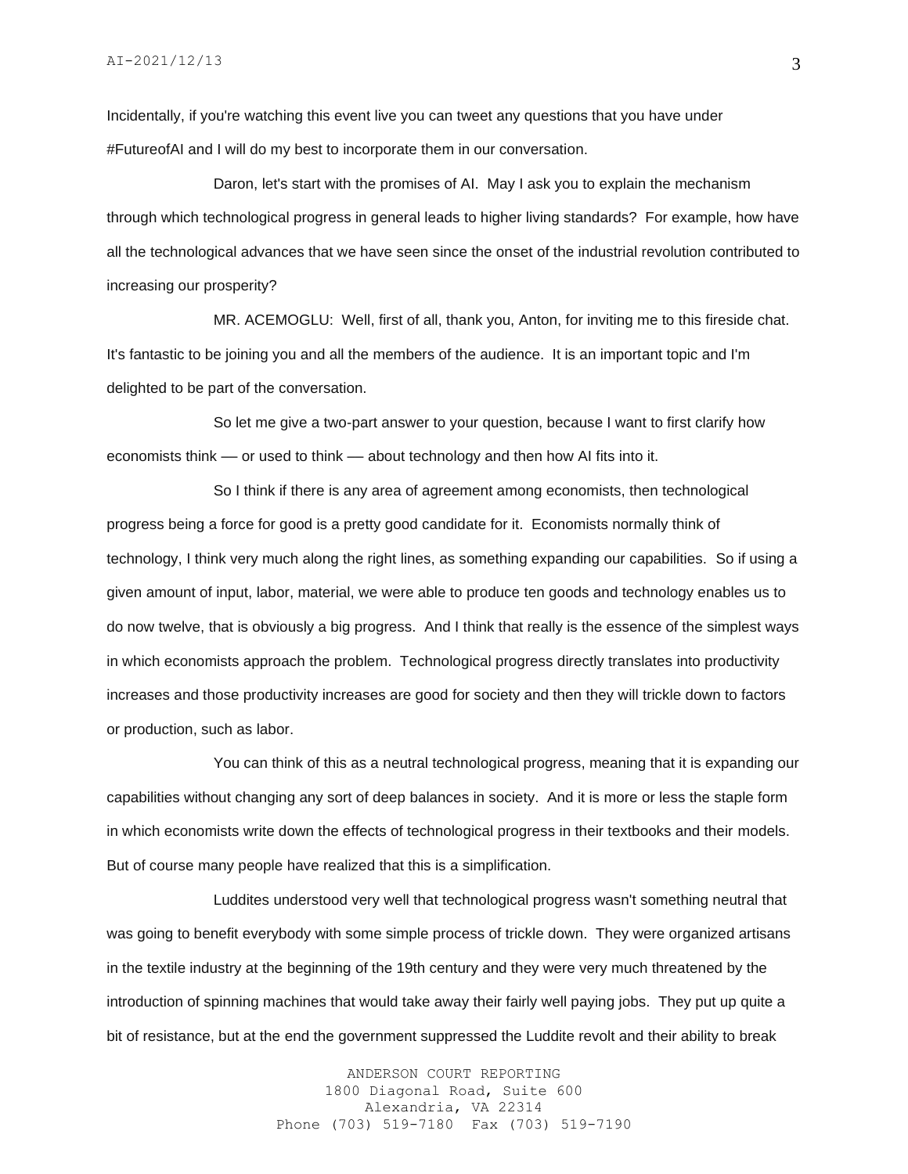Incidentally, if you're watching this event live you can tweet any questions that you have under #FutureofAI and I will do my best to incorporate them in our conversation.

Daron, let's start with the promises of AI. May I ask you to explain the mechanism through which technological progress in general leads to higher living standards? For example, how have all the technological advances that we have seen since the onset of the industrial revolution contributed to increasing our prosperity?

MR. ACEMOGLU: Well, first of all, thank you, Anton, for inviting me to this fireside chat. It's fantastic to be joining you and all the members of the audience. It is an important topic and I'm delighted to be part of the conversation.

So let me give a two-part answer to your question, because I want to first clarify how economists think — or used to think — about technology and then how AI fits into it.

So I think if there is any area of agreement among economists, then technological progress being a force for good is a pretty good candidate for it. Economists normally think of technology, I think very much along the right lines, as something expanding our capabilities. So if using a given amount of input, labor, material, we were able to produce ten goods and technology enables us to do now twelve, that is obviously a big progress. And I think that really is the essence of the simplest ways in which economists approach the problem. Technological progress directly translates into productivity increases and those productivity increases are good for society and then they will trickle down to factors or production, such as labor.

You can think of this as a neutral technological progress, meaning that it is expanding our capabilities without changing any sort of deep balances in society. And it is more or less the staple form in which economists write down the effects of technological progress in their textbooks and their models. But of course many people have realized that this is a simplification.

Luddites understood very well that technological progress wasn't something neutral that was going to benefit everybody with some simple process of trickle down. They were organized artisans in the textile industry at the beginning of the 19th century and they were very much threatened by the introduction of spinning machines that would take away their fairly well paying jobs. They put up quite a bit of resistance, but at the end the government suppressed the Luddite revolt and their ability to break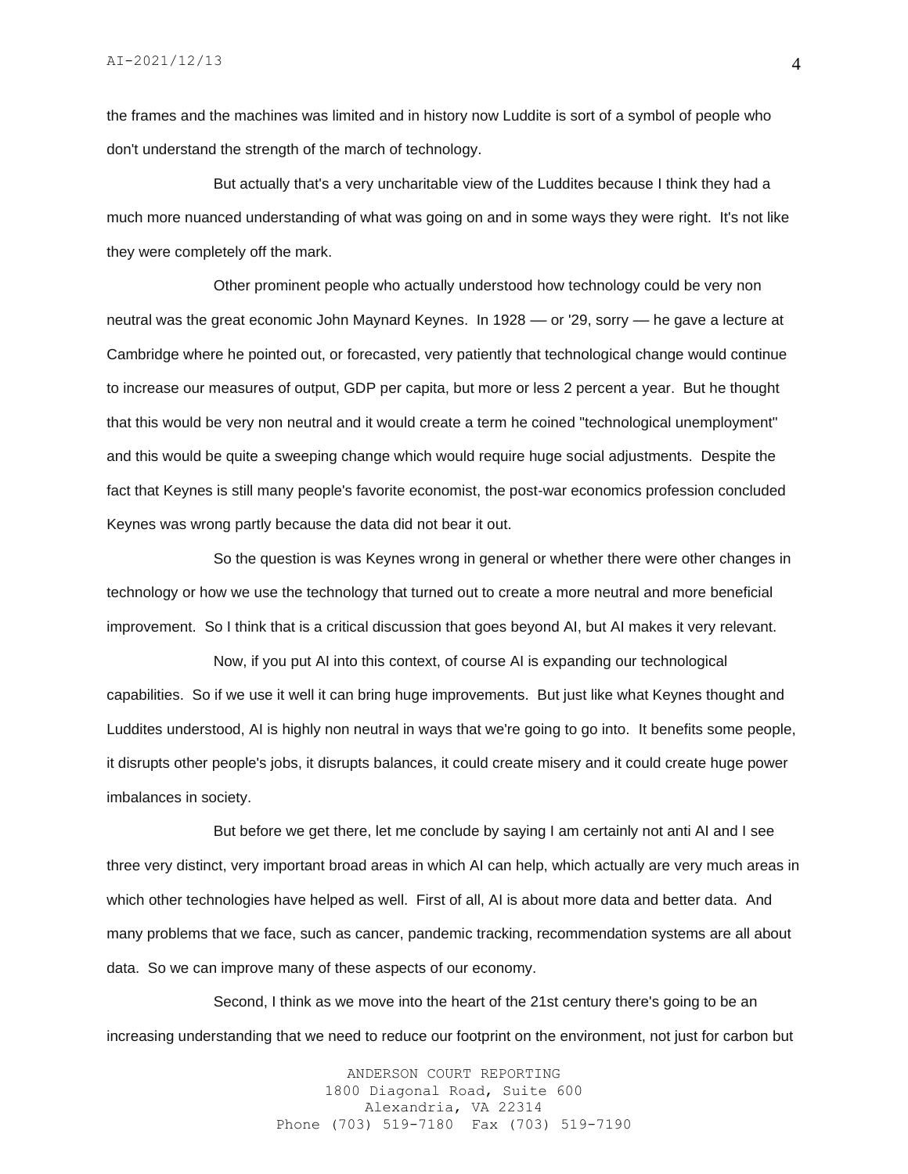the frames and the machines was limited and in history now Luddite is sort of a symbol of people who don't understand the strength of the march of technology.

But actually that's a very uncharitable view of the Luddites because I think they had a much more nuanced understanding of what was going on and in some ways they were right. It's not like they were completely off the mark.

Other prominent people who actually understood how technology could be very non neutral was the great economic John Maynard Keynes. In 1928 — or '29, sorry — he gave a lecture at Cambridge where he pointed out, or forecasted, very patiently that technological change would continue to increase our measures of output, GDP per capita, but more or less 2 percent a year. But he thought that this would be very non neutral and it would create a term he coined "technological unemployment" and this would be quite a sweeping change which would require huge social adjustments. Despite the fact that Keynes is still many people's favorite economist, the post-war economics profession concluded Keynes was wrong partly because the data did not bear it out.

So the question is was Keynes wrong in general or whether there were other changes in technology or how we use the technology that turned out to create a more neutral and more beneficial improvement. So I think that is a critical discussion that goes beyond AI, but AI makes it very relevant.

Now, if you put AI into this context, of course AI is expanding our technological capabilities. So if we use it well it can bring huge improvements. But just like what Keynes thought and Luddites understood, AI is highly non neutral in ways that we're going to go into. It benefits some people, it disrupts other people's jobs, it disrupts balances, it could create misery and it could create huge power imbalances in society.

But before we get there, let me conclude by saying I am certainly not anti AI and I see three very distinct, very important broad areas in which AI can help, which actually are very much areas in which other technologies have helped as well. First of all, AI is about more data and better data. And many problems that we face, such as cancer, pandemic tracking, recommendation systems are all about data. So we can improve many of these aspects of our economy.

Second, I think as we move into the heart of the 21st century there's going to be an increasing understanding that we need to reduce our footprint on the environment, not just for carbon but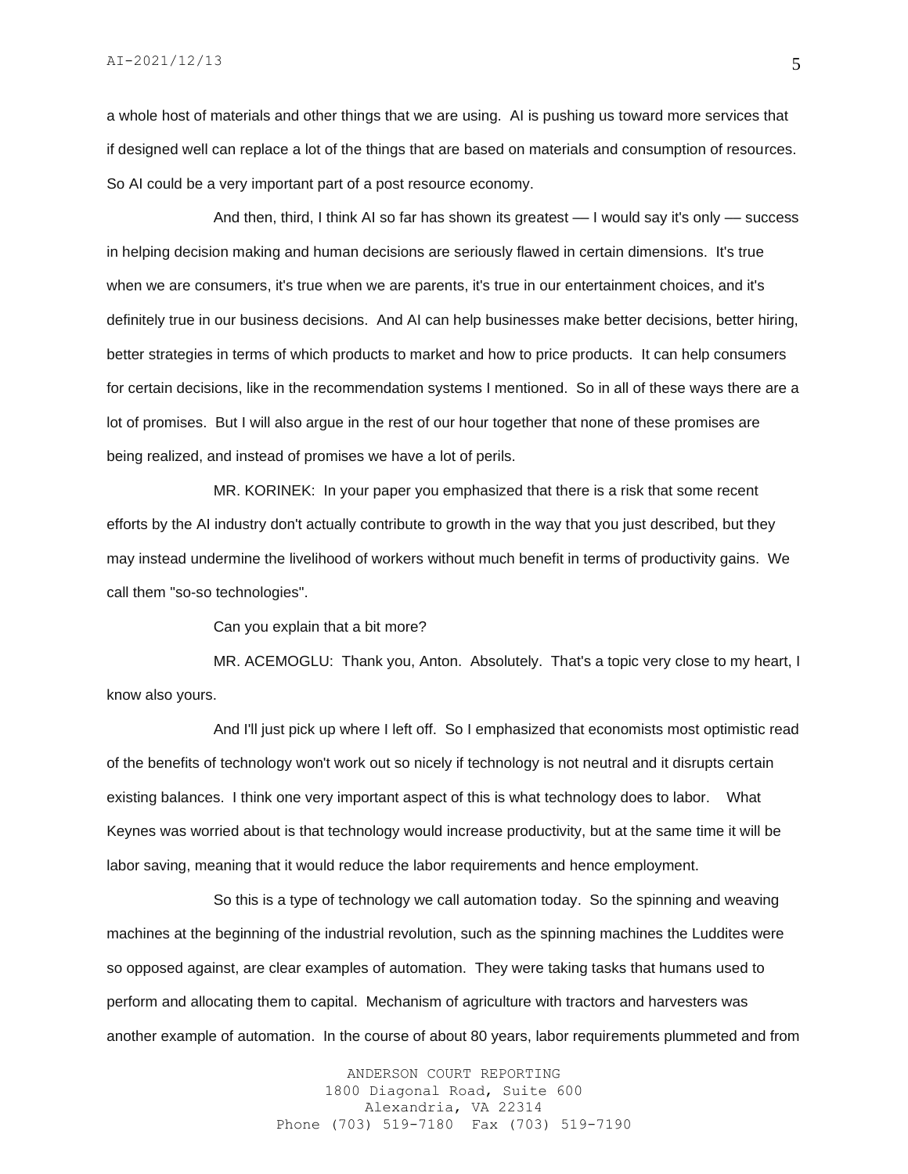a whole host of materials and other things that we are using. AI is pushing us toward more services that if designed well can replace a lot of the things that are based on materials and consumption of resources. So AI could be a very important part of a post resource economy.

And then, third, I think AI so far has shown its greatest — I would say it's only — success in helping decision making and human decisions are seriously flawed in certain dimensions. It's true when we are consumers, it's true when we are parents, it's true in our entertainment choices, and it's definitely true in our business decisions. And AI can help businesses make better decisions, better hiring, better strategies in terms of which products to market and how to price products. It can help consumers for certain decisions, like in the recommendation systems I mentioned. So in all of these ways there are a lot of promises. But I will also argue in the rest of our hour together that none of these promises are being realized, and instead of promises we have a lot of perils.

MR. KORINEK: In your paper you emphasized that there is a risk that some recent efforts by the AI industry don't actually contribute to growth in the way that you just described, but they may instead undermine the livelihood of workers without much benefit in terms of productivity gains. We call them "so-so technologies".

Can you explain that a bit more?

MR. ACEMOGLU: Thank you, Anton. Absolutely. That's a topic very close to my heart, I know also yours.

And I'll just pick up where I left off. So I emphasized that economists most optimistic read of the benefits of technology won't work out so nicely if technology is not neutral and it disrupts certain existing balances. I think one very important aspect of this is what technology does to labor. What Keynes was worried about is that technology would increase productivity, but at the same time it will be labor saving, meaning that it would reduce the labor requirements and hence employment.

So this is a type of technology we call automation today. So the spinning and weaving machines at the beginning of the industrial revolution, such as the spinning machines the Luddites were so opposed against, are clear examples of automation. They were taking tasks that humans used to perform and allocating them to capital. Mechanism of agriculture with tractors and harvesters was another example of automation. In the course of about 80 years, labor requirements plummeted and from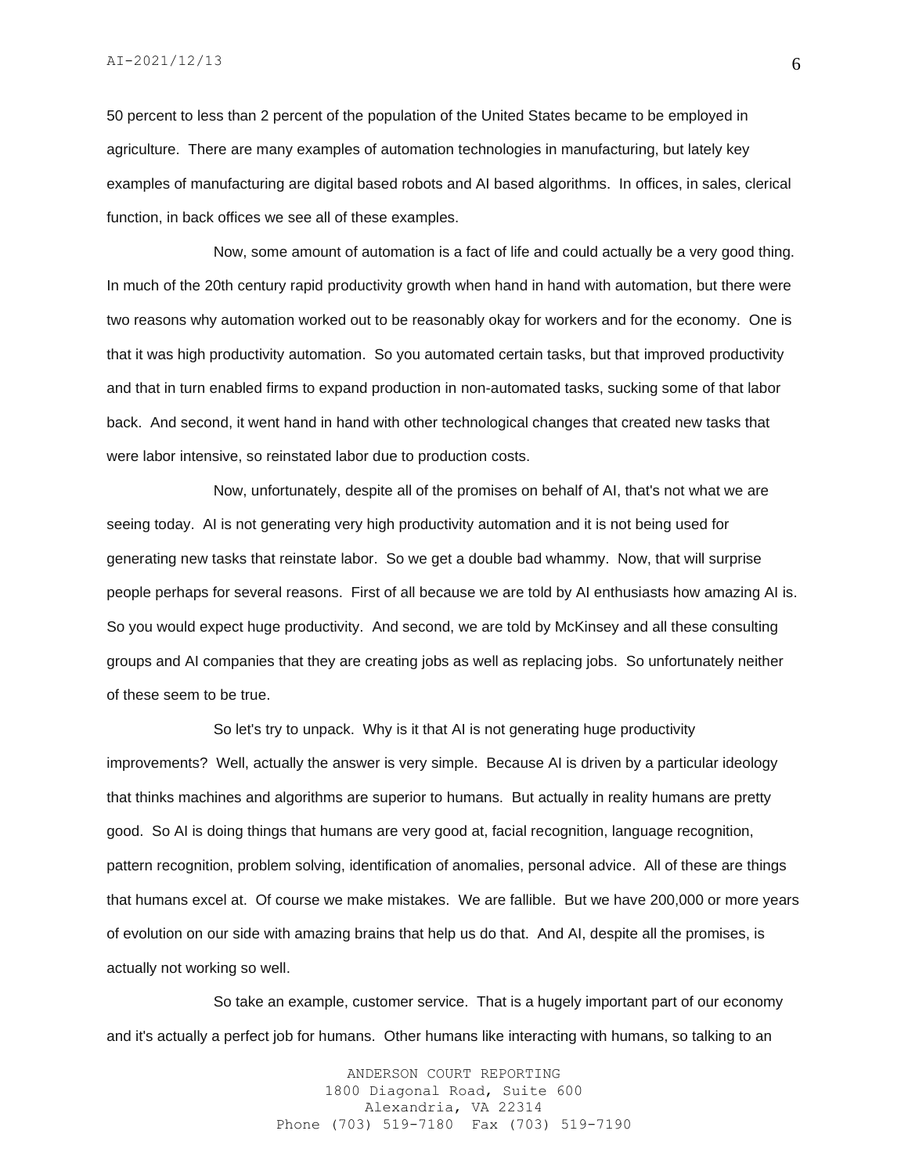50 percent to less than 2 percent of the population of the United States became to be employed in agriculture. There are many examples of automation technologies in manufacturing, but lately key examples of manufacturing are digital based robots and AI based algorithms. In offices, in sales, clerical function, in back offices we see all of these examples.

Now, some amount of automation is a fact of life and could actually be a very good thing. In much of the 20th century rapid productivity growth when hand in hand with automation, but there were two reasons why automation worked out to be reasonably okay for workers and for the economy. One is that it was high productivity automation. So you automated certain tasks, but that improved productivity and that in turn enabled firms to expand production in non-automated tasks, sucking some of that labor back. And second, it went hand in hand with other technological changes that created new tasks that were labor intensive, so reinstated labor due to production costs.

Now, unfortunately, despite all of the promises on behalf of AI, that's not what we are seeing today. AI is not generating very high productivity automation and it is not being used for generating new tasks that reinstate labor. So we get a double bad whammy. Now, that will surprise people perhaps for several reasons. First of all because we are told by AI enthusiasts how amazing AI is. So you would expect huge productivity. And second, we are told by McKinsey and all these consulting groups and AI companies that they are creating jobs as well as replacing jobs. So unfortunately neither of these seem to be true.

So let's try to unpack. Why is it that AI is not generating huge productivity improvements? Well, actually the answer is very simple. Because AI is driven by a particular ideology that thinks machines and algorithms are superior to humans. But actually in reality humans are pretty good. So AI is doing things that humans are very good at, facial recognition, language recognition, pattern recognition, problem solving, identification of anomalies, personal advice. All of these are things that humans excel at. Of course we make mistakes. We are fallible. But we have 200,000 or more years of evolution on our side with amazing brains that help us do that. And AI, despite all the promises, is actually not working so well.

So take an example, customer service. That is a hugely important part of our economy and it's actually a perfect job for humans. Other humans like interacting with humans, so talking to an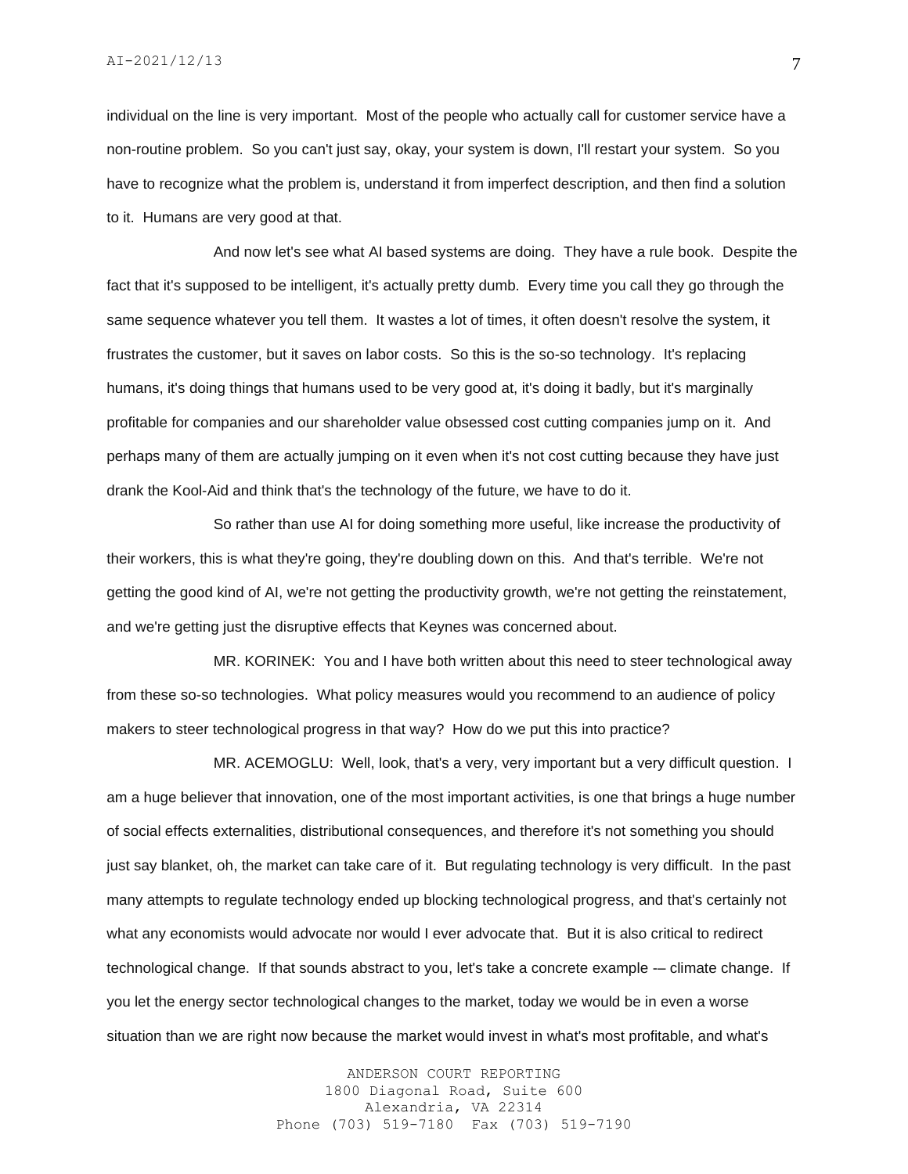individual on the line is very important. Most of the people who actually call for customer service have a non-routine problem. So you can't just say, okay, your system is down, I'll restart your system. So you have to recognize what the problem is, understand it from imperfect description, and then find a solution to it. Humans are very good at that.

And now let's see what AI based systems are doing. They have a rule book. Despite the fact that it's supposed to be intelligent, it's actually pretty dumb. Every time you call they go through the same sequence whatever you tell them. It wastes a lot of times, it often doesn't resolve the system, it frustrates the customer, but it saves on labor costs. So this is the so-so technology. It's replacing humans, it's doing things that humans used to be very good at, it's doing it badly, but it's marginally profitable for companies and our shareholder value obsessed cost cutting companies jump on it. And perhaps many of them are actually jumping on it even when it's not cost cutting because they have just drank the Kool-Aid and think that's the technology of the future, we have to do it.

So rather than use AI for doing something more useful, like increase the productivity of their workers, this is what they're going, they're doubling down on this. And that's terrible. We're not getting the good kind of AI, we're not getting the productivity growth, we're not getting the reinstatement, and we're getting just the disruptive effects that Keynes was concerned about.

MR. KORINEK: You and I have both written about this need to steer technological away from these so-so technologies. What policy measures would you recommend to an audience of policy makers to steer technological progress in that way? How do we put this into practice?

MR. ACEMOGLU: Well, look, that's a very, very important but a very difficult question. I am a huge believer that innovation, one of the most important activities, is one that brings a huge number of social effects externalities, distributional consequences, and therefore it's not something you should just say blanket, oh, the market can take care of it. But regulating technology is very difficult. In the past many attempts to regulate technology ended up blocking technological progress, and that's certainly not what any economists would advocate nor would I ever advocate that. But it is also critical to redirect technological change. If that sounds abstract to you, let's take a concrete example -– climate change. If you let the energy sector technological changes to the market, today we would be in even a worse situation than we are right now because the market would invest in what's most profitable, and what's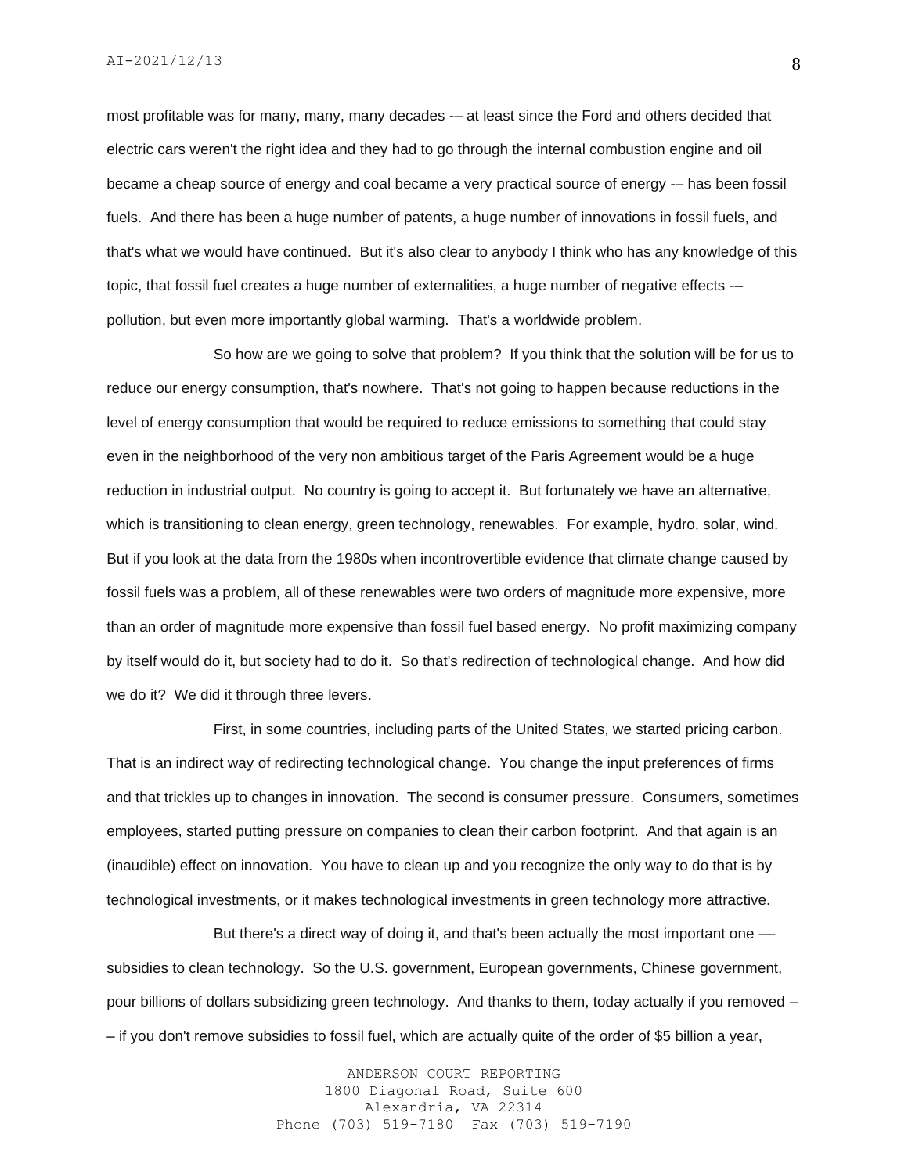most profitable was for many, many, many decades -- at least since the Ford and others decided that electric cars weren't the right idea and they had to go through the internal combustion engine and oil became a cheap source of energy and coal became a very practical source of energy -– has been fossil fuels. And there has been a huge number of patents, a huge number of innovations in fossil fuels, and that's what we would have continued. But it's also clear to anybody I think who has any knowledge of this topic, that fossil fuel creates a huge number of externalities, a huge number of negative effects -– pollution, but even more importantly global warming. That's a worldwide problem.

So how are we going to solve that problem? If you think that the solution will be for us to reduce our energy consumption, that's nowhere. That's not going to happen because reductions in the level of energy consumption that would be required to reduce emissions to something that could stay even in the neighborhood of the very non ambitious target of the Paris Agreement would be a huge reduction in industrial output. No country is going to accept it. But fortunately we have an alternative, which is transitioning to clean energy, green technology, renewables. For example, hydro, solar, wind. But if you look at the data from the 1980s when incontrovertible evidence that climate change caused by fossil fuels was a problem, all of these renewables were two orders of magnitude more expensive, more than an order of magnitude more expensive than fossil fuel based energy. No profit maximizing company by itself would do it, but society had to do it. So that's redirection of technological change. And how did we do it? We did it through three levers.

First, in some countries, including parts of the United States, we started pricing carbon. That is an indirect way of redirecting technological change. You change the input preferences of firms and that trickles up to changes in innovation. The second is consumer pressure. Consumers, sometimes employees, started putting pressure on companies to clean their carbon footprint. And that again is an (inaudible) effect on innovation. You have to clean up and you recognize the only way to do that is by technological investments, or it makes technological investments in green technology more attractive.

But there's a direct way of doing it, and that's been actually the most important one subsidies to clean technology. So the U.S. government, European governments, Chinese government, pour billions of dollars subsidizing green technology. And thanks to them, today actually if you removed – – if you don't remove subsidies to fossil fuel, which are actually quite of the order of \$5 billion a year,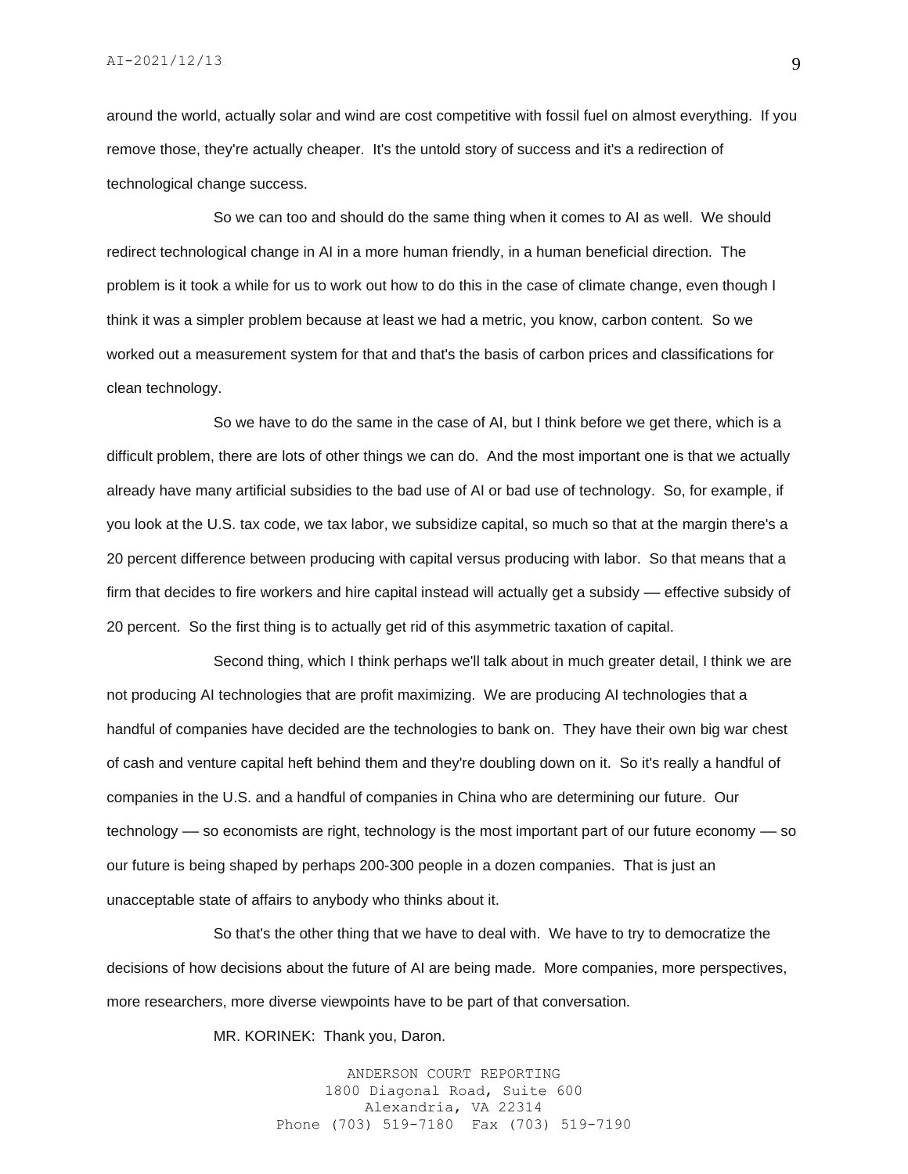around the world, actually solar and wind are cost competitive with fossil fuel on almost everything. If you remove those, they're actually cheaper. It's the untold story of success and it's a redirection of technological change success.

So we can too and should do the same thing when it comes to AI as well. We should redirect technological change in AI in a more human friendly, in a human beneficial direction. The problem is it took a while for us to work out how to do this in the case of climate change, even though I think it was a simpler problem because at least we had a metric, you know, carbon content. So we worked out a measurement system for that and that's the basis of carbon prices and classifications for clean technology.

So we have to do the same in the case of AI, but I think before we get there, which is a difficult problem, there are lots of other things we can do. And the most important one is that we actually already have many artificial subsidies to the bad use of AI or bad use of technology. So, for example, if you look at the U.S. tax code, we tax labor, we subsidize capital, so much so that at the margin there's a 20 percent difference between producing with capital versus producing with labor. So that means that a firm that decides to fire workers and hire capital instead will actually get a subsidy -- effective subsidy of 20 percent. So the first thing is to actually get rid of this asymmetric taxation of capital.

Second thing, which I think perhaps we'll talk about in much greater detail, I think we are not producing AI technologies that are profit maximizing. We are producing AI technologies that a handful of companies have decided are the technologies to bank on. They have their own big war chest of cash and venture capital heft behind them and they're doubling down on it. So it's really a handful of companies in the U.S. and a handful of companies in China who are determining our future. Our technology –– so economists are right, technology is the most important part of our future economy –– so our future is being shaped by perhaps 200-300 people in a dozen companies. That is just an unacceptable state of affairs to anybody who thinks about it.

So that's the other thing that we have to deal with. We have to try to democratize the decisions of how decisions about the future of AI are being made. More companies, more perspectives, more researchers, more diverse viewpoints have to be part of that conversation.

MR. KORINEK: Thank you, Daron.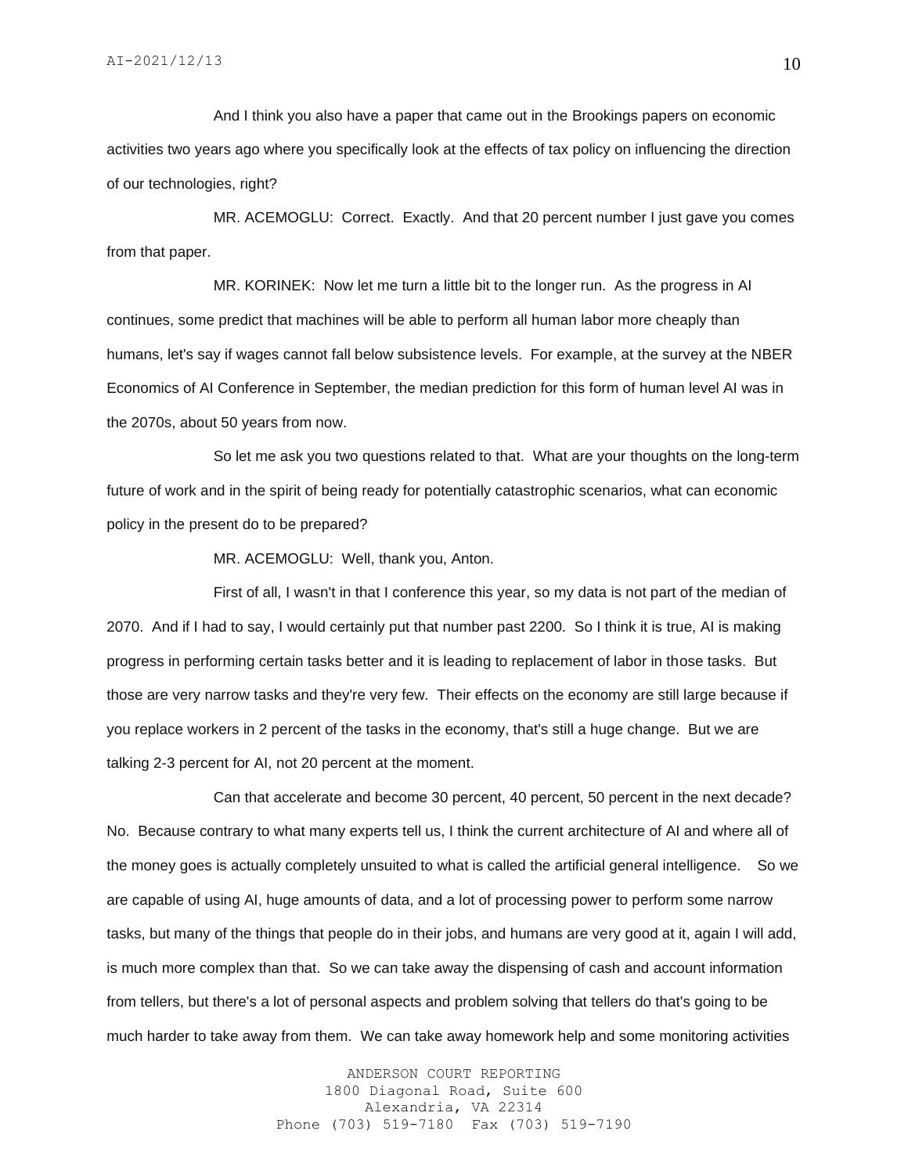And I think you also have a paper that came out in the Brookings papers on economic activities two years ago where you specifically look at the effects of tax policy on influencing the direction of our technologies, right?

MR. ACEMOGLU: Correct. Exactly. And that 20 percent number I just gave you comes from that paper.

MR. KORINEK: Now let me turn a little bit to the longer run. As the progress in AI continues, some predict that machines will be able to perform all human labor more cheaply than humans, let's say if wages cannot fall below subsistence levels. For example, at the survey at the NBER Economics of AI Conference in September, the median prediction for this form of human level AI was in the 2070s, about 50 years from now.

So let me ask you two questions related to that. What are your thoughts on the long-term future of work and in the spirit of being ready for potentially catastrophic scenarios, what can economic policy in the present do to be prepared?

MR. ACEMOGLU: Well, thank you, Anton.

First of all, I wasn't in that I conference this year, so my data is not part of the median of 2070. And if I had to say, I would certainly put that number past 2200. So I think it is true, AI is making progress in performing certain tasks better and it is leading to replacement of labor in those tasks. But those are very narrow tasks and they're very few. Their effects on the economy are still large because if you replace workers in 2 percent of the tasks in the economy, that's still a huge change. But we are talking 2-3 percent for AI, not 20 percent at the moment.

Can that accelerate and become 30 percent, 40 percent, 50 percent in the next decade? No. Because contrary to what many experts tell us, I think the current architecture of AI and where all of the money goes is actually completely unsuited to what is called the artificial general intelligence. So we are capable of using AI, huge amounts of data, and a lot of processing power to perform some narrow tasks, but many of the things that people do in their jobs, and humans are very good at it, again I will add, is much more complex than that. So we can take away the dispensing of cash and account information from tellers, but there's a lot of personal aspects and problem solving that tellers do that's going to be much harder to take away from them. We can take away homework help and some monitoring activities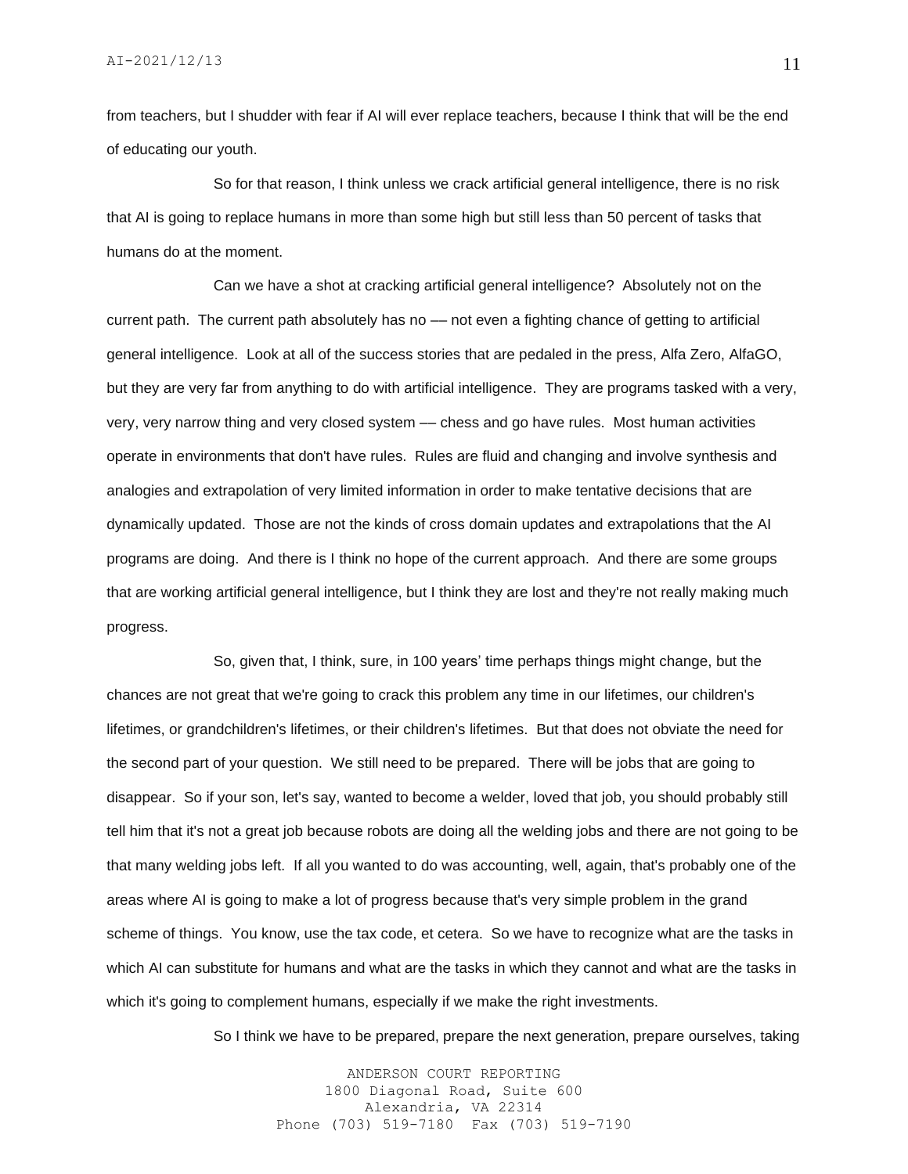from teachers, but I shudder with fear if AI will ever replace teachers, because I think that will be the end of educating our youth.

So for that reason, I think unless we crack artificial general intelligence, there is no risk that AI is going to replace humans in more than some high but still less than 50 percent of tasks that humans do at the moment.

Can we have a shot at cracking artificial general intelligence? Absolutely not on the current path. The current path absolutely has no –– not even a fighting chance of getting to artificial general intelligence. Look at all of the success stories that are pedaled in the press, Alfa Zero, AlfaGO, but they are very far from anything to do with artificial intelligence. They are programs tasked with a very, very, very narrow thing and very closed system –– chess and go have rules. Most human activities operate in environments that don't have rules. Rules are fluid and changing and involve synthesis and analogies and extrapolation of very limited information in order to make tentative decisions that are dynamically updated. Those are not the kinds of cross domain updates and extrapolations that the AI programs are doing. And there is I think no hope of the current approach. And there are some groups that are working artificial general intelligence, but I think they are lost and they're not really making much progress.

So, given that, I think, sure, in 100 years' time perhaps things might change, but the chances are not great that we're going to crack this problem any time in our lifetimes, our children's lifetimes, or grandchildren's lifetimes, or their children's lifetimes. But that does not obviate the need for the second part of your question. We still need to be prepared. There will be jobs that are going to disappear. So if your son, let's say, wanted to become a welder, loved that job, you should probably still tell him that it's not a great job because robots are doing all the welding jobs and there are not going to be that many welding jobs left. If all you wanted to do was accounting, well, again, that's probably one of the areas where AI is going to make a lot of progress because that's very simple problem in the grand scheme of things. You know, use the tax code, et cetera. So we have to recognize what are the tasks in which AI can substitute for humans and what are the tasks in which they cannot and what are the tasks in which it's going to complement humans, especially if we make the right investments.

So I think we have to be prepared, prepare the next generation, prepare ourselves, taking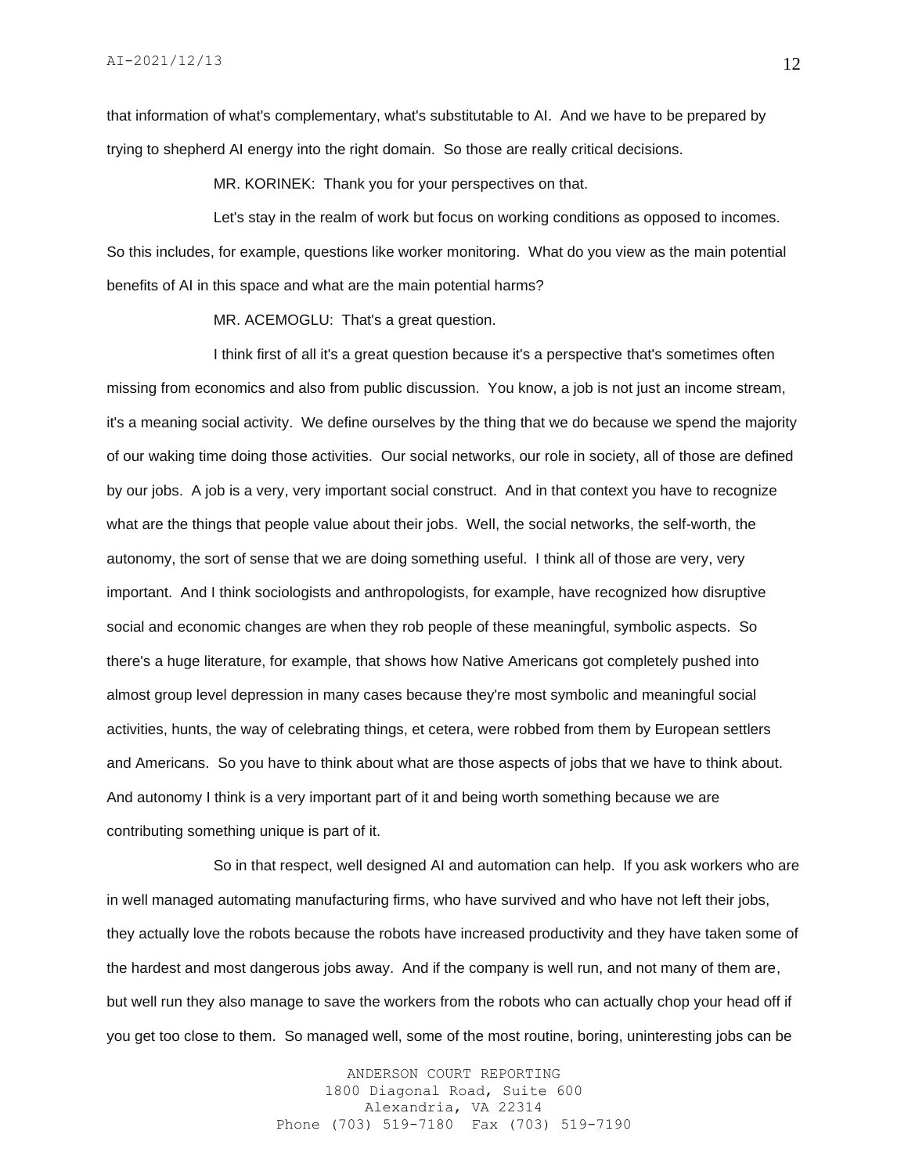that information of what's complementary, what's substitutable to AI. And we have to be prepared by trying to shepherd AI energy into the right domain. So those are really critical decisions.

MR. KORINEK: Thank you for your perspectives on that.

Let's stay in the realm of work but focus on working conditions as opposed to incomes. So this includes, for example, questions like worker monitoring. What do you view as the main potential benefits of AI in this space and what are the main potential harms?

MR. ACEMOGLU: That's a great question.

I think first of all it's a great question because it's a perspective that's sometimes often missing from economics and also from public discussion. You know, a job is not just an income stream, it's a meaning social activity. We define ourselves by the thing that we do because we spend the majority of our waking time doing those activities. Our social networks, our role in society, all of those are defined by our jobs. A job is a very, very important social construct. And in that context you have to recognize what are the things that people value about their jobs. Well, the social networks, the self-worth, the autonomy, the sort of sense that we are doing something useful. I think all of those are very, very important. And I think sociologists and anthropologists, for example, have recognized how disruptive social and economic changes are when they rob people of these meaningful, symbolic aspects. So there's a huge literature, for example, that shows how Native Americans got completely pushed into almost group level depression in many cases because they're most symbolic and meaningful social activities, hunts, the way of celebrating things, et cetera, were robbed from them by European settlers and Americans. So you have to think about what are those aspects of jobs that we have to think about. And autonomy I think is a very important part of it and being worth something because we are contributing something unique is part of it.

So in that respect, well designed AI and automation can help. If you ask workers who are in well managed automating manufacturing firms, who have survived and who have not left their jobs, they actually love the robots because the robots have increased productivity and they have taken some of the hardest and most dangerous jobs away. And if the company is well run, and not many of them are, but well run they also manage to save the workers from the robots who can actually chop your head off if you get too close to them. So managed well, some of the most routine, boring, uninteresting jobs can be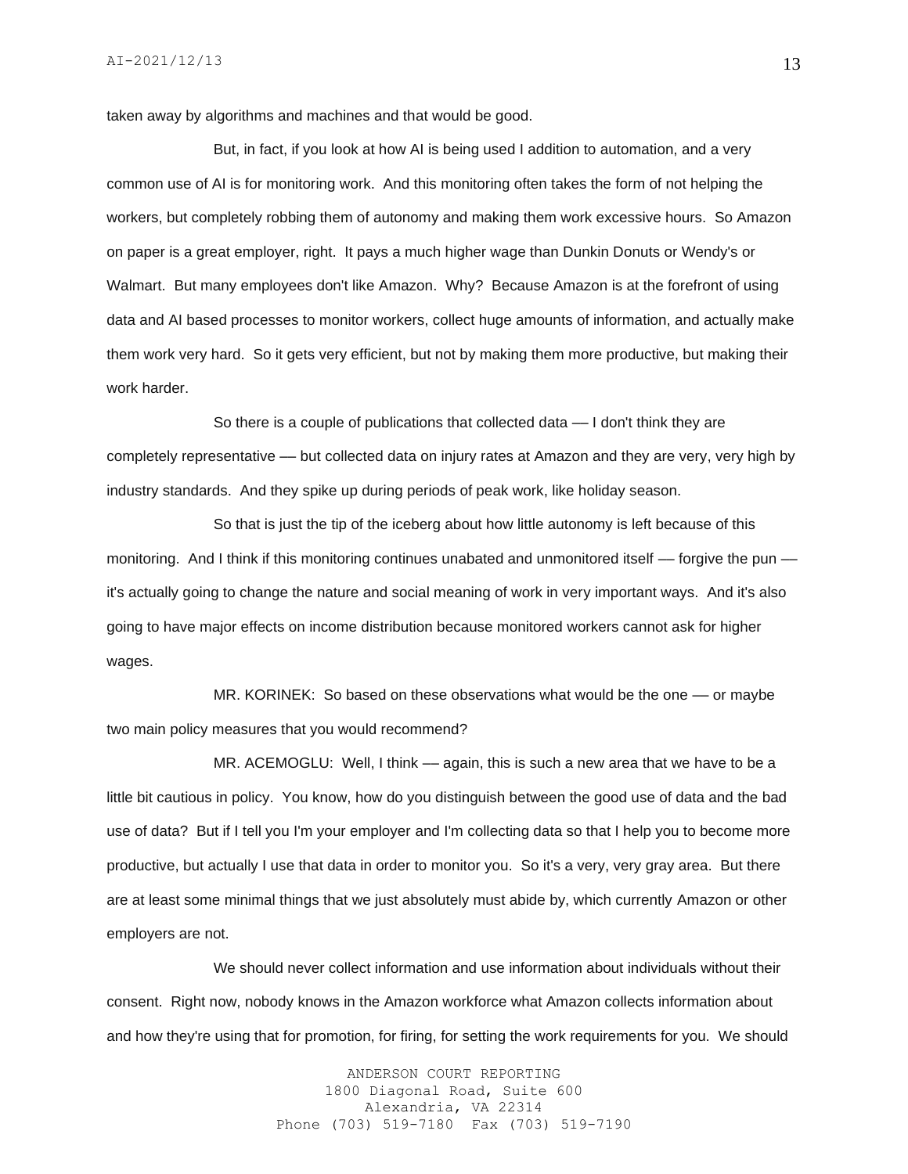taken away by algorithms and machines and that would be good.

But, in fact, if you look at how AI is being used I addition to automation, and a very common use of AI is for monitoring work. And this monitoring often takes the form of not helping the workers, but completely robbing them of autonomy and making them work excessive hours. So Amazon on paper is a great employer, right. It pays a much higher wage than Dunkin Donuts or Wendy's or Walmart. But many employees don't like Amazon. Why? Because Amazon is at the forefront of using data and AI based processes to monitor workers, collect huge amounts of information, and actually make them work very hard. So it gets very efficient, but not by making them more productive, but making their work harder.

So there is a couple of publications that collected data — I don't think they are completely representative –– but collected data on injury rates at Amazon and they are very, very high by industry standards. And they spike up during periods of peak work, like holiday season.

So that is just the tip of the iceberg about how little autonomy is left because of this monitoring. And I think if this monitoring continues unabated and unmonitored itself –– forgive the pun –– it's actually going to change the nature and social meaning of work in very important ways. And it's also going to have major effects on income distribution because monitored workers cannot ask for higher wages.

MR. KORINEK: So based on these observations what would be the one -- or maybe two main policy measures that you would recommend?

MR. ACEMOGLU: Well, I think — again, this is such a new area that we have to be a little bit cautious in policy. You know, how do you distinguish between the good use of data and the bad use of data? But if I tell you I'm your employer and I'm collecting data so that I help you to become more productive, but actually I use that data in order to monitor you. So it's a very, very gray area. But there are at least some minimal things that we just absolutely must abide by, which currently Amazon or other employers are not.

We should never collect information and use information about individuals without their consent. Right now, nobody knows in the Amazon workforce what Amazon collects information about and how they're using that for promotion, for firing, for setting the work requirements for you. We should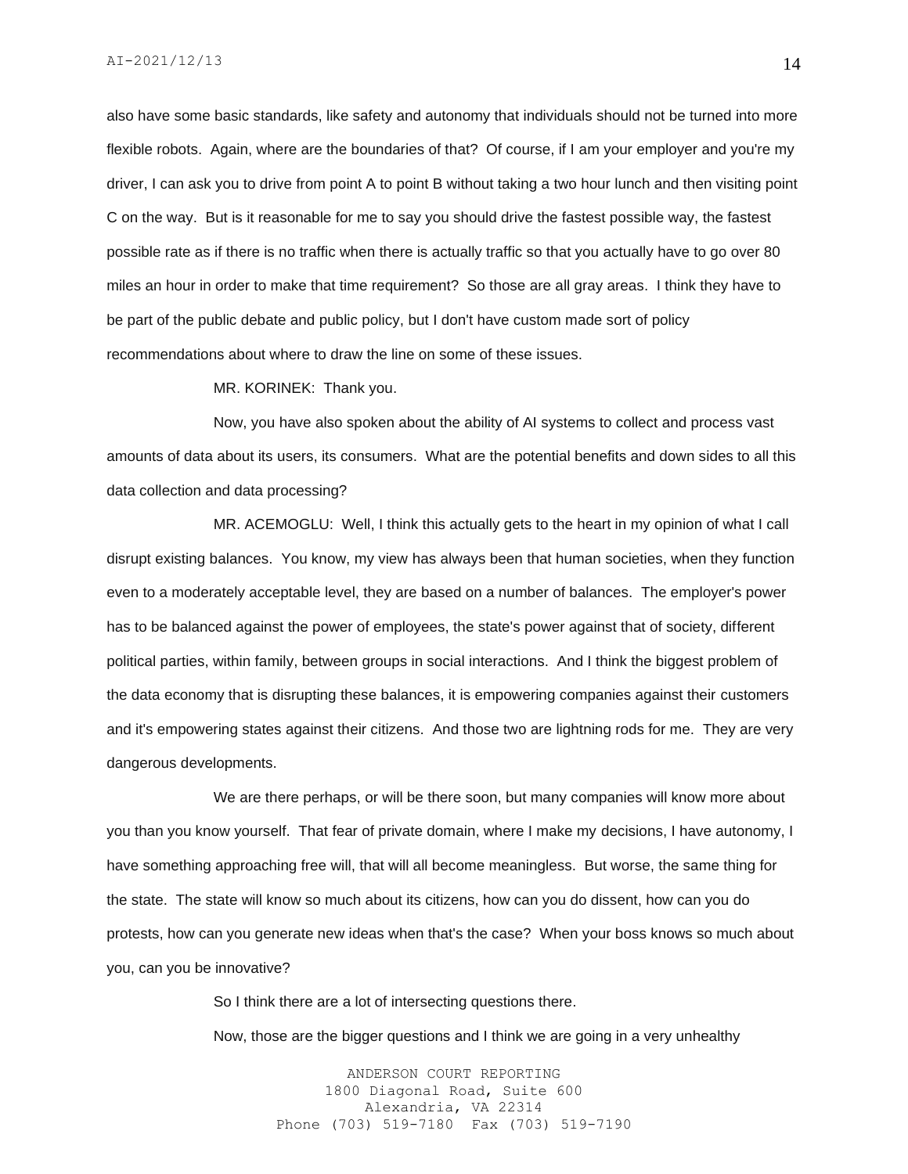also have some basic standards, like safety and autonomy that individuals should not be turned into more flexible robots. Again, where are the boundaries of that? Of course, if I am your employer and you're my driver, I can ask you to drive from point A to point B without taking a two hour lunch and then visiting point C on the way. But is it reasonable for me to say you should drive the fastest possible way, the fastest possible rate as if there is no traffic when there is actually traffic so that you actually have to go over 80 miles an hour in order to make that time requirement? So those are all gray areas. I think they have to be part of the public debate and public policy, but I don't have custom made sort of policy recommendations about where to draw the line on some of these issues.

#### MR. KORINEK: Thank you.

Now, you have also spoken about the ability of AI systems to collect and process vast amounts of data about its users, its consumers. What are the potential benefits and down sides to all this data collection and data processing?

MR. ACEMOGLU: Well, I think this actually gets to the heart in my opinion of what I call disrupt existing balances. You know, my view has always been that human societies, when they function even to a moderately acceptable level, they are based on a number of balances. The employer's power has to be balanced against the power of employees, the state's power against that of society, different political parties, within family, between groups in social interactions. And I think the biggest problem of the data economy that is disrupting these balances, it is empowering companies against their customers and it's empowering states against their citizens. And those two are lightning rods for me. They are very dangerous developments.

We are there perhaps, or will be there soon, but many companies will know more about you than you know yourself. That fear of private domain, where I make my decisions, I have autonomy, I have something approaching free will, that will all become meaningless. But worse, the same thing for the state. The state will know so much about its citizens, how can you do dissent, how can you do protests, how can you generate new ideas when that's the case? When your boss knows so much about you, can you be innovative?

So I think there are a lot of intersecting questions there.

Now, those are the bigger questions and I think we are going in a very unhealthy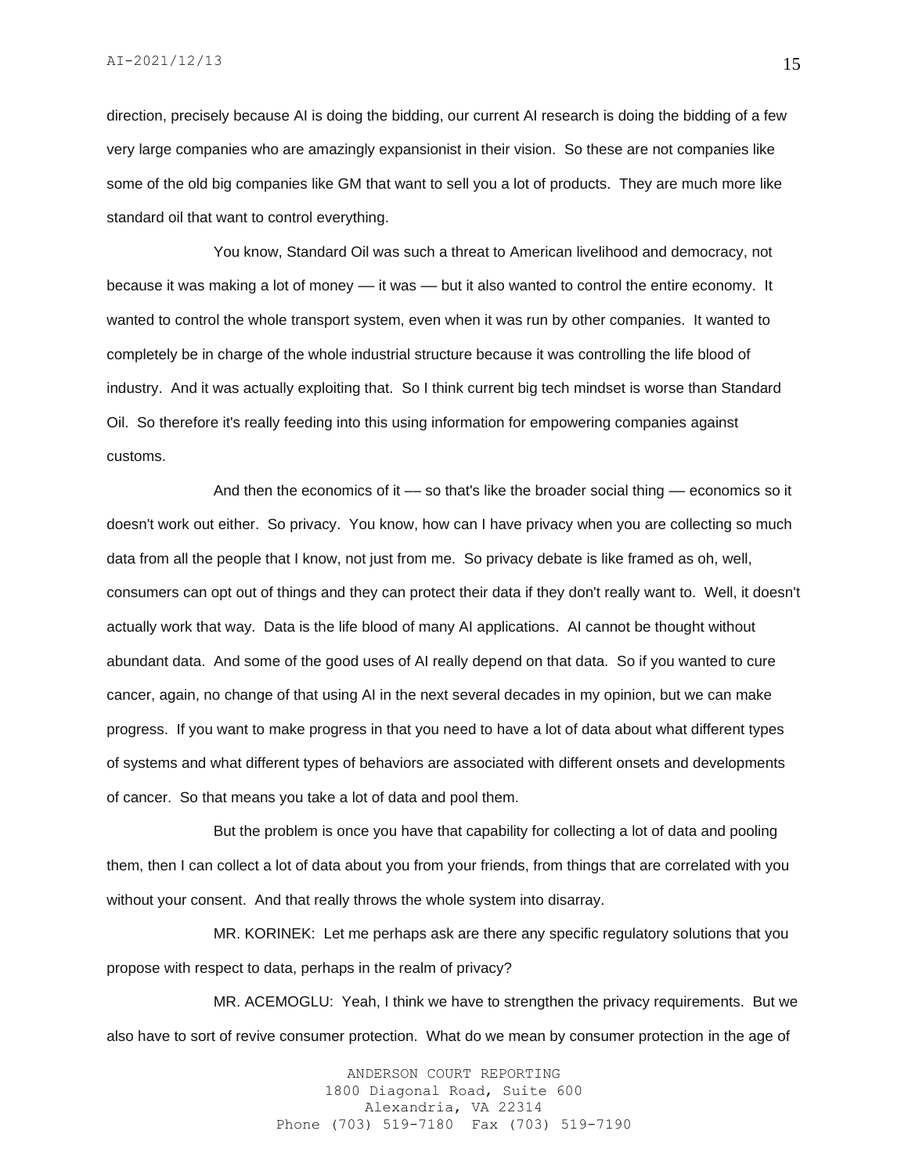direction, precisely because AI is doing the bidding, our current AI research is doing the bidding of a few very large companies who are amazingly expansionist in their vision. So these are not companies like some of the old big companies like GM that want to sell you a lot of products. They are much more like standard oil that want to control everything.

You know, Standard Oil was such a threat to American livelihood and democracy, not because it was making a lot of money — it was — but it also wanted to control the entire economy. It wanted to control the whole transport system, even when it was run by other companies. It wanted to completely be in charge of the whole industrial structure because it was controlling the life blood of industry. And it was actually exploiting that. So I think current big tech mindset is worse than Standard Oil. So therefore it's really feeding into this using information for empowering companies against customs.

And then the economics of it — so that's like the broader social thing — economics so it doesn't work out either. So privacy. You know, how can I have privacy when you are collecting so much data from all the people that I know, not just from me. So privacy debate is like framed as oh, well, consumers can opt out of things and they can protect their data if they don't really want to. Well, it doesn't actually work that way. Data is the life blood of many AI applications. AI cannot be thought without abundant data. And some of the good uses of AI really depend on that data. So if you wanted to cure cancer, again, no change of that using AI in the next several decades in my opinion, but we can make progress. If you want to make progress in that you need to have a lot of data about what different types of systems and what different types of behaviors are associated with different onsets and developments of cancer. So that means you take a lot of data and pool them.

But the problem is once you have that capability for collecting a lot of data and pooling them, then I can collect a lot of data about you from your friends, from things that are correlated with you without your consent. And that really throws the whole system into disarray.

MR. KORINEK: Let me perhaps ask are there any specific regulatory solutions that you propose with respect to data, perhaps in the realm of privacy?

MR. ACEMOGLU: Yeah, I think we have to strengthen the privacy requirements. But we also have to sort of revive consumer protection. What do we mean by consumer protection in the age of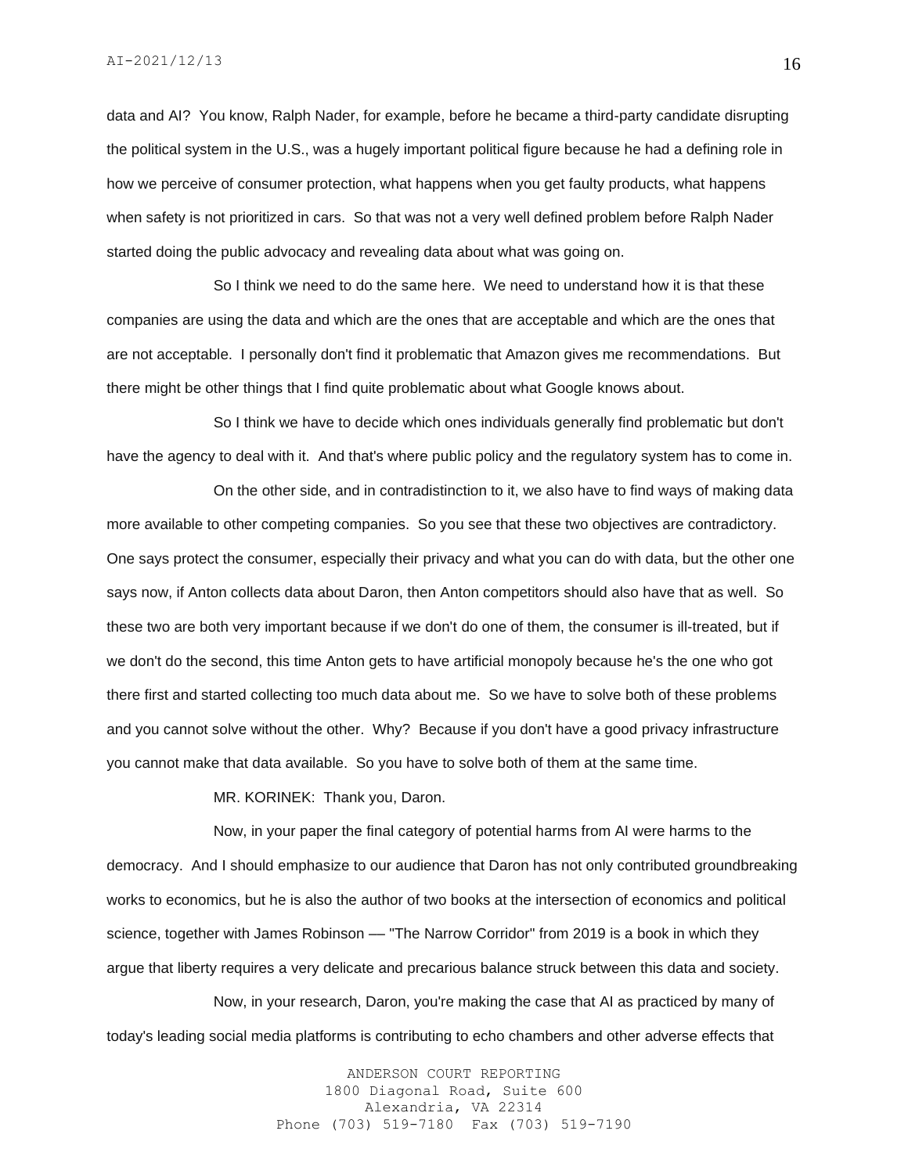data and AI? You know, Ralph Nader, for example, before he became a third-party candidate disrupting the political system in the U.S., was a hugely important political figure because he had a defining role in how we perceive of consumer protection, what happens when you get faulty products, what happens when safety is not prioritized in cars. So that was not a very well defined problem before Ralph Nader started doing the public advocacy and revealing data about what was going on.

So I think we need to do the same here. We need to understand how it is that these companies are using the data and which are the ones that are acceptable and which are the ones that are not acceptable. I personally don't find it problematic that Amazon gives me recommendations. But there might be other things that I find quite problematic about what Google knows about.

So I think we have to decide which ones individuals generally find problematic but don't have the agency to deal with it. And that's where public policy and the regulatory system has to come in.

On the other side, and in contradistinction to it, we also have to find ways of making data more available to other competing companies. So you see that these two objectives are contradictory. One says protect the consumer, especially their privacy and what you can do with data, but the other one says now, if Anton collects data about Daron, then Anton competitors should also have that as well. So these two are both very important because if we don't do one of them, the consumer is ill-treated, but if we don't do the second, this time Anton gets to have artificial monopoly because he's the one who got there first and started collecting too much data about me. So we have to solve both of these problems and you cannot solve without the other. Why? Because if you don't have a good privacy infrastructure you cannot make that data available. So you have to solve both of them at the same time.

MR. KORINEK: Thank you, Daron.

Now, in your paper the final category of potential harms from AI were harms to the democracy. And I should emphasize to our audience that Daron has not only contributed groundbreaking works to economics, but he is also the author of two books at the intersection of economics and political science, together with James Robinson — "The Narrow Corridor" from 2019 is a book in which they argue that liberty requires a very delicate and precarious balance struck between this data and society.

Now, in your research, Daron, you're making the case that AI as practiced by many of today's leading social media platforms is contributing to echo chambers and other adverse effects that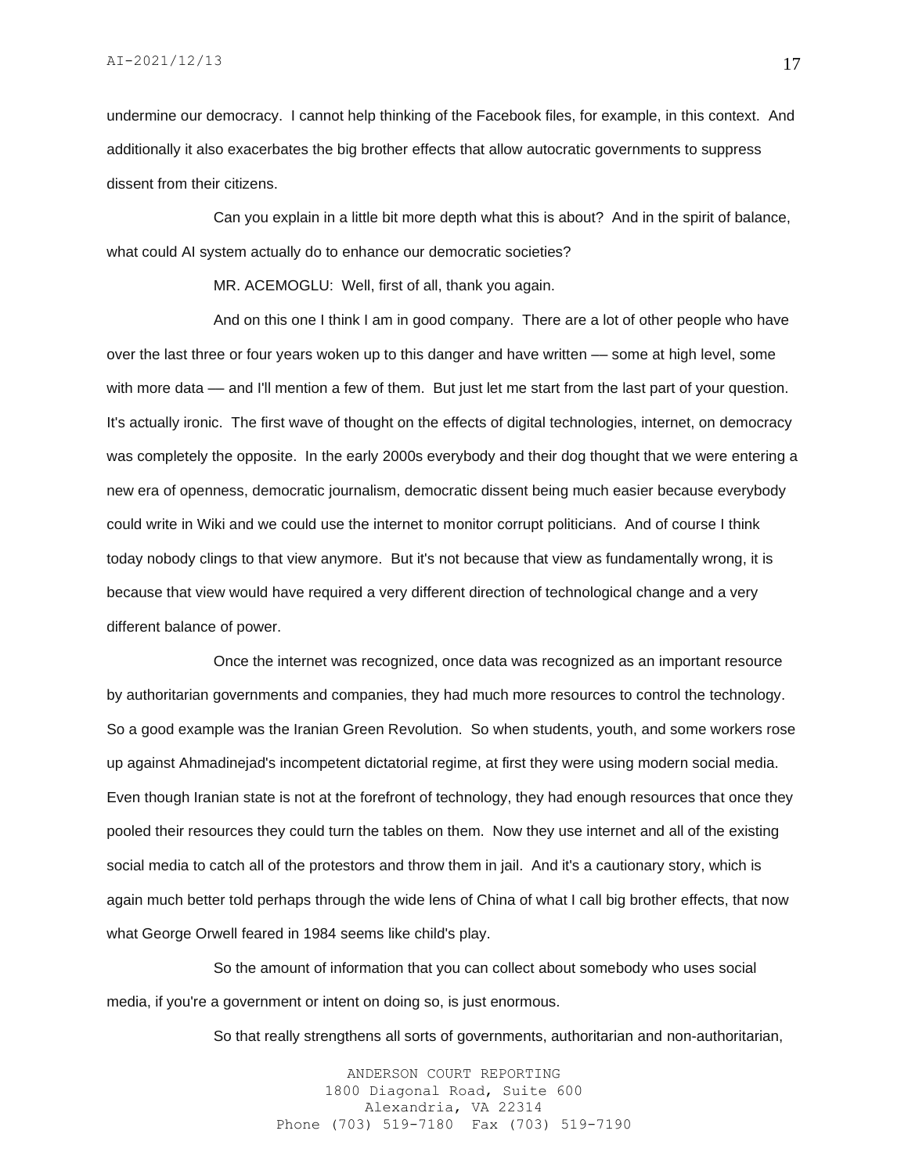undermine our democracy. I cannot help thinking of the Facebook files, for example, in this context. And additionally it also exacerbates the big brother effects that allow autocratic governments to suppress dissent from their citizens.

Can you explain in a little bit more depth what this is about? And in the spirit of balance, what could AI system actually do to enhance our democratic societies?

MR. ACEMOGLU: Well, first of all, thank you again.

And on this one I think I am in good company. There are a lot of other people who have over the last three or four years woken up to this danger and have written — some at high level, some with more data — and I'll mention a few of them. But just let me start from the last part of your question. It's actually ironic. The first wave of thought on the effects of digital technologies, internet, on democracy was completely the opposite. In the early 2000s everybody and their dog thought that we were entering a new era of openness, democratic journalism, democratic dissent being much easier because everybody could write in Wiki and we could use the internet to monitor corrupt politicians. And of course I think today nobody clings to that view anymore. But it's not because that view as fundamentally wrong, it is because that view would have required a very different direction of technological change and a very different balance of power.

Once the internet was recognized, once data was recognized as an important resource by authoritarian governments and companies, they had much more resources to control the technology. So a good example was the Iranian Green Revolution. So when students, youth, and some workers rose up against Ahmadinejad's incompetent dictatorial regime, at first they were using modern social media. Even though Iranian state is not at the forefront of technology, they had enough resources that once they pooled their resources they could turn the tables on them. Now they use internet and all of the existing social media to catch all of the protestors and throw them in jail. And it's a cautionary story, which is again much better told perhaps through the wide lens of China of what I call big brother effects, that now what George Orwell feared in 1984 seems like child's play.

So the amount of information that you can collect about somebody who uses social media, if you're a government or intent on doing so, is just enormous.

So that really strengthens all sorts of governments, authoritarian and non-authoritarian,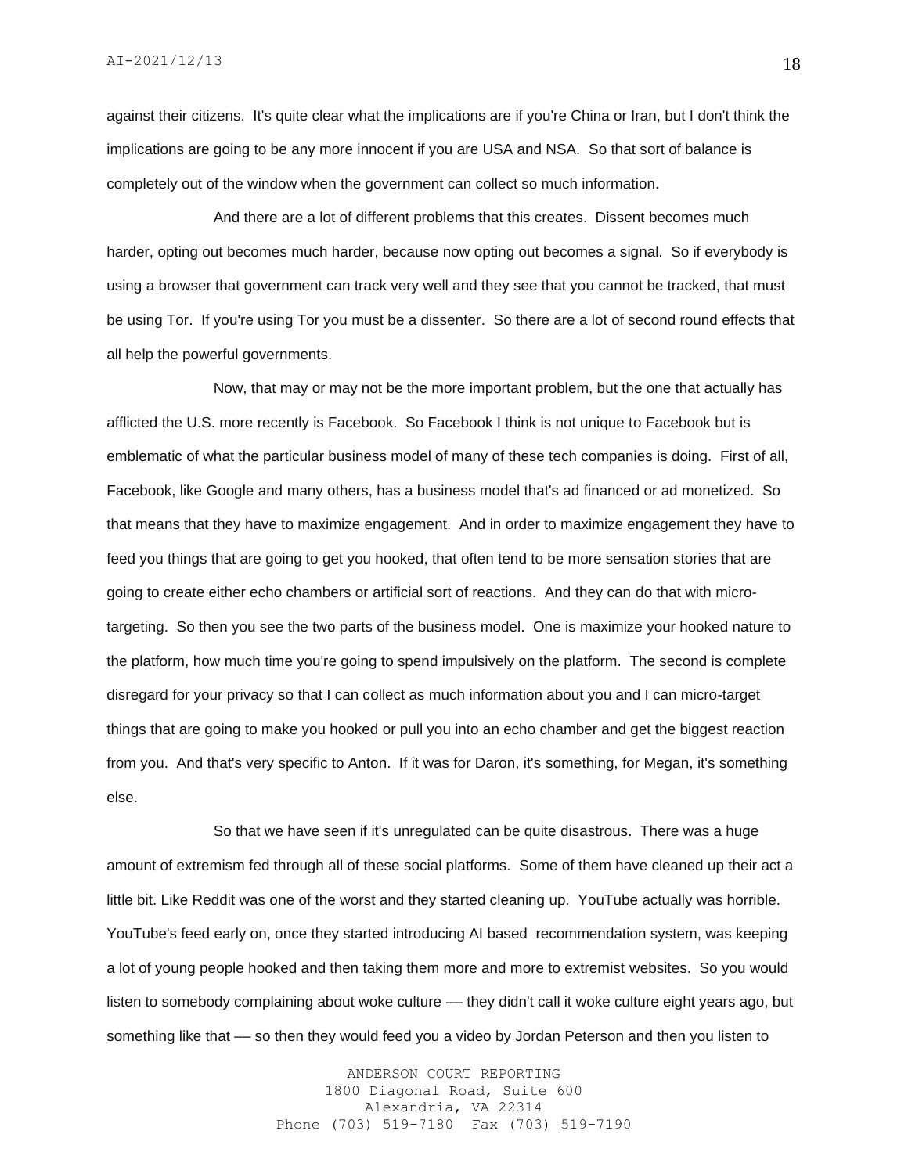against their citizens. It's quite clear what the implications are if you're China or Iran, but I don't think the implications are going to be any more innocent if you are USA and NSA. So that sort of balance is completely out of the window when the government can collect so much information.

And there are a lot of different problems that this creates. Dissent becomes much harder, opting out becomes much harder, because now opting out becomes a signal. So if everybody is using a browser that government can track very well and they see that you cannot be tracked, that must be using Tor. If you're using Tor you must be a dissenter. So there are a lot of second round effects that all help the powerful governments.

Now, that may or may not be the more important problem, but the one that actually has afflicted the U.S. more recently is Facebook. So Facebook I think is not unique to Facebook but is emblematic of what the particular business model of many of these tech companies is doing. First of all, Facebook, like Google and many others, has a business model that's ad financed or ad monetized. So that means that they have to maximize engagement. And in order to maximize engagement they have to feed you things that are going to get you hooked, that often tend to be more sensation stories that are going to create either echo chambers or artificial sort of reactions. And they can do that with microtargeting. So then you see the two parts of the business model. One is maximize your hooked nature to the platform, how much time you're going to spend impulsively on the platform. The second is complete disregard for your privacy so that I can collect as much information about you and I can micro-target things that are going to make you hooked or pull you into an echo chamber and get the biggest reaction from you. And that's very specific to Anton. If it was for Daron, it's something, for Megan, it's something else.

So that we have seen if it's unregulated can be quite disastrous. There was a huge amount of extremism fed through all of these social platforms. Some of them have cleaned up their act a little bit. Like Reddit was one of the worst and they started cleaning up. YouTube actually was horrible. YouTube's feed early on, once they started introducing AI based recommendation system, was keeping a lot of young people hooked and then taking them more and more to extremist websites. So you would listen to somebody complaining about woke culture -- they didn't call it woke culture eight years ago, but something like that –– so then they would feed you a video by Jordan Peterson and then you listen to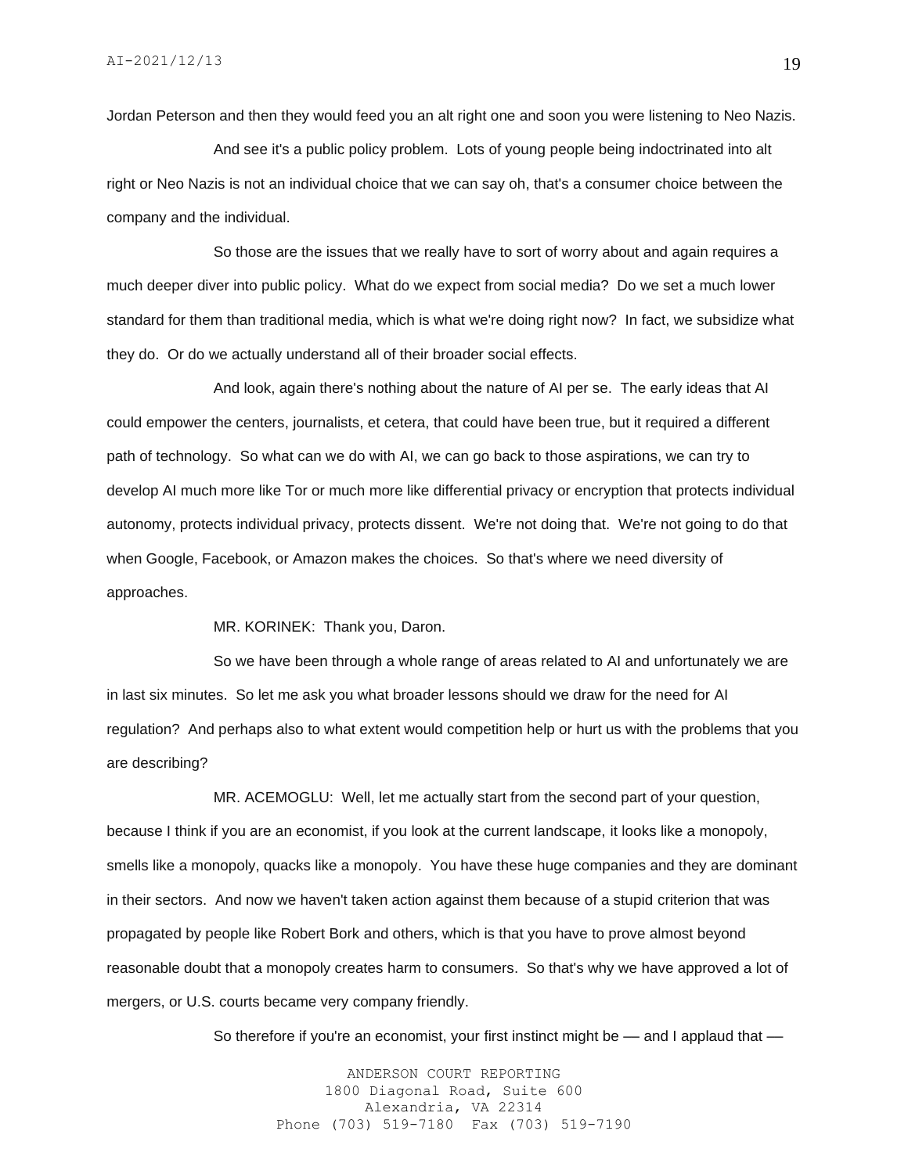Jordan Peterson and then they would feed you an alt right one and soon you were listening to Neo Nazis.

And see it's a public policy problem. Lots of young people being indoctrinated into alt right or Neo Nazis is not an individual choice that we can say oh, that's a consumer choice between the company and the individual.

So those are the issues that we really have to sort of worry about and again requires a much deeper diver into public policy. What do we expect from social media? Do we set a much lower standard for them than traditional media, which is what we're doing right now? In fact, we subsidize what they do. Or do we actually understand all of their broader social effects.

And look, again there's nothing about the nature of AI per se. The early ideas that AI could empower the centers, journalists, et cetera, that could have been true, but it required a different path of technology. So what can we do with AI, we can go back to those aspirations, we can try to develop AI much more like Tor or much more like differential privacy or encryption that protects individual autonomy, protects individual privacy, protects dissent. We're not doing that. We're not going to do that when Google, Facebook, or Amazon makes the choices. So that's where we need diversity of approaches.

MR. KORINEK: Thank you, Daron.

So we have been through a whole range of areas related to AI and unfortunately we are in last six minutes. So let me ask you what broader lessons should we draw for the need for AI regulation? And perhaps also to what extent would competition help or hurt us with the problems that you are describing?

MR. ACEMOGLU: Well, let me actually start from the second part of your question, because I think if you are an economist, if you look at the current landscape, it looks like a monopoly, smells like a monopoly, quacks like a monopoly. You have these huge companies and they are dominant in their sectors. And now we haven't taken action against them because of a stupid criterion that was propagated by people like Robert Bork and others, which is that you have to prove almost beyond reasonable doubt that a monopoly creates harm to consumers. So that's why we have approved a lot of mergers, or U.S. courts became very company friendly.

So therefore if you're an economist, your first instinct might be  $-$  and I applaud that  $-$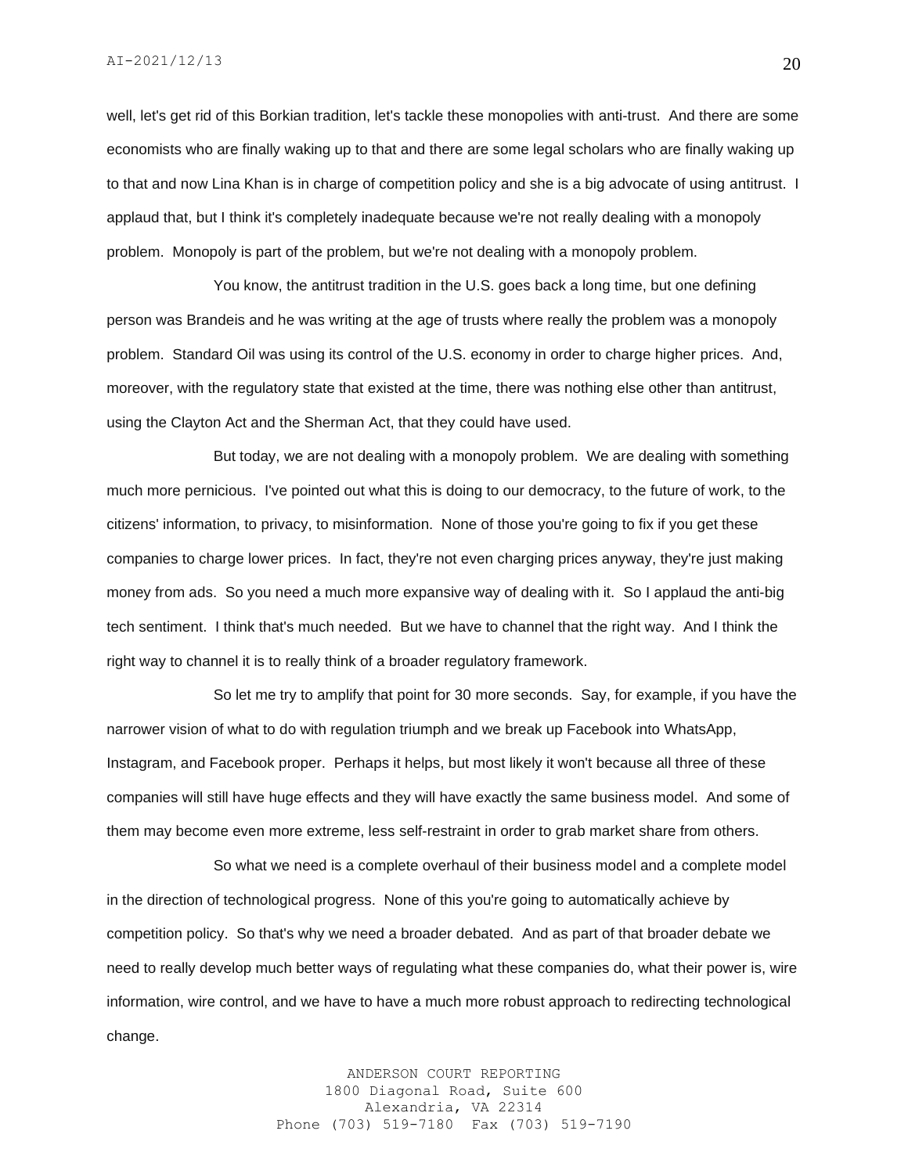well, let's get rid of this Borkian tradition, let's tackle these monopolies with anti-trust. And there are some economists who are finally waking up to that and there are some legal scholars who are finally waking up to that and now Lina Khan is in charge of competition policy and she is a big advocate of using antitrust. I applaud that, but I think it's completely inadequate because we're not really dealing with a monopoly problem. Monopoly is part of the problem, but we're not dealing with a monopoly problem.

You know, the antitrust tradition in the U.S. goes back a long time, but one defining person was Brandeis and he was writing at the age of trusts where really the problem was a monopoly problem. Standard Oil was using its control of the U.S. economy in order to charge higher prices. And, moreover, with the regulatory state that existed at the time, there was nothing else other than antitrust, using the Clayton Act and the Sherman Act, that they could have used.

But today, we are not dealing with a monopoly problem. We are dealing with something much more pernicious. I've pointed out what this is doing to our democracy, to the future of work, to the citizens' information, to privacy, to misinformation. None of those you're going to fix if you get these companies to charge lower prices. In fact, they're not even charging prices anyway, they're just making money from ads. So you need a much more expansive way of dealing with it. So I applaud the anti-big tech sentiment. I think that's much needed. But we have to channel that the right way. And I think the right way to channel it is to really think of a broader regulatory framework.

So let me try to amplify that point for 30 more seconds. Say, for example, if you have the narrower vision of what to do with regulation triumph and we break up Facebook into WhatsApp, Instagram, and Facebook proper. Perhaps it helps, but most likely it won't because all three of these companies will still have huge effects and they will have exactly the same business model. And some of them may become even more extreme, less self-restraint in order to grab market share from others.

So what we need is a complete overhaul of their business model and a complete model in the direction of technological progress. None of this you're going to automatically achieve by competition policy. So that's why we need a broader debated. And as part of that broader debate we need to really develop much better ways of regulating what these companies do, what their power is, wire information, wire control, and we have to have a much more robust approach to redirecting technological change.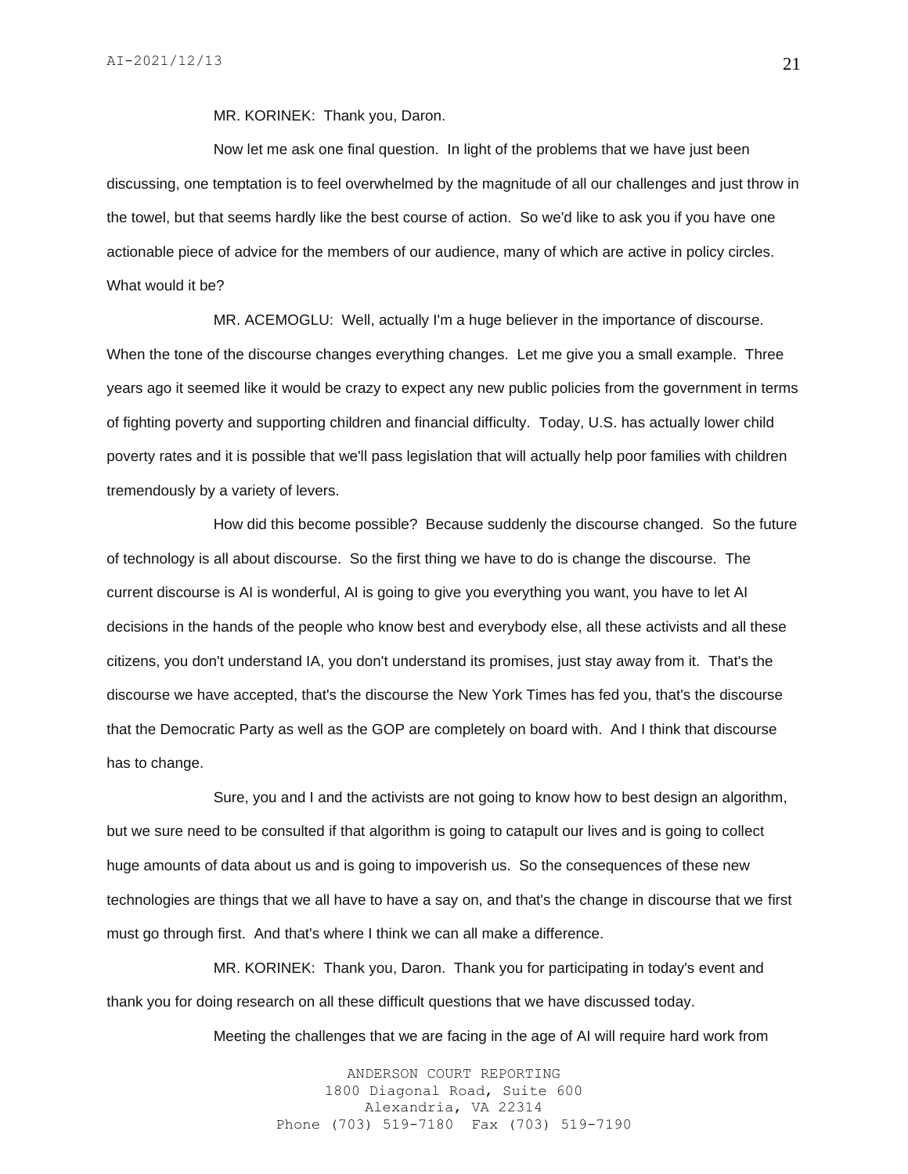MR. KORINEK: Thank you, Daron.

Now let me ask one final question. In light of the problems that we have just been discussing, one temptation is to feel overwhelmed by the magnitude of all our challenges and just throw in the towel, but that seems hardly like the best course of action. So we'd like to ask you if you have one actionable piece of advice for the members of our audience, many of which are active in policy circles. What would it be?

MR. ACEMOGLU: Well, actually I'm a huge believer in the importance of discourse. When the tone of the discourse changes everything changes. Let me give you a small example. Three years ago it seemed like it would be crazy to expect any new public policies from the government in terms of fighting poverty and supporting children and financial difficulty. Today, U.S. has actually lower child poverty rates and it is possible that we'll pass legislation that will actually help poor families with children tremendously by a variety of levers.

How did this become possible? Because suddenly the discourse changed. So the future of technology is all about discourse. So the first thing we have to do is change the discourse. The current discourse is AI is wonderful, AI is going to give you everything you want, you have to let AI decisions in the hands of the people who know best and everybody else, all these activists and all these citizens, you don't understand IA, you don't understand its promises, just stay away from it. That's the discourse we have accepted, that's the discourse the New York Times has fed you, that's the discourse that the Democratic Party as well as the GOP are completely on board with. And I think that discourse has to change.

Sure, you and I and the activists are not going to know how to best design an algorithm, but we sure need to be consulted if that algorithm is going to catapult our lives and is going to collect huge amounts of data about us and is going to impoverish us. So the consequences of these new technologies are things that we all have to have a say on, and that's the change in discourse that we first must go through first. And that's where I think we can all make a difference.

MR. KORINEK: Thank you, Daron. Thank you for participating in today's event and thank you for doing research on all these difficult questions that we have discussed today.

Meeting the challenges that we are facing in the age of AI will require hard work from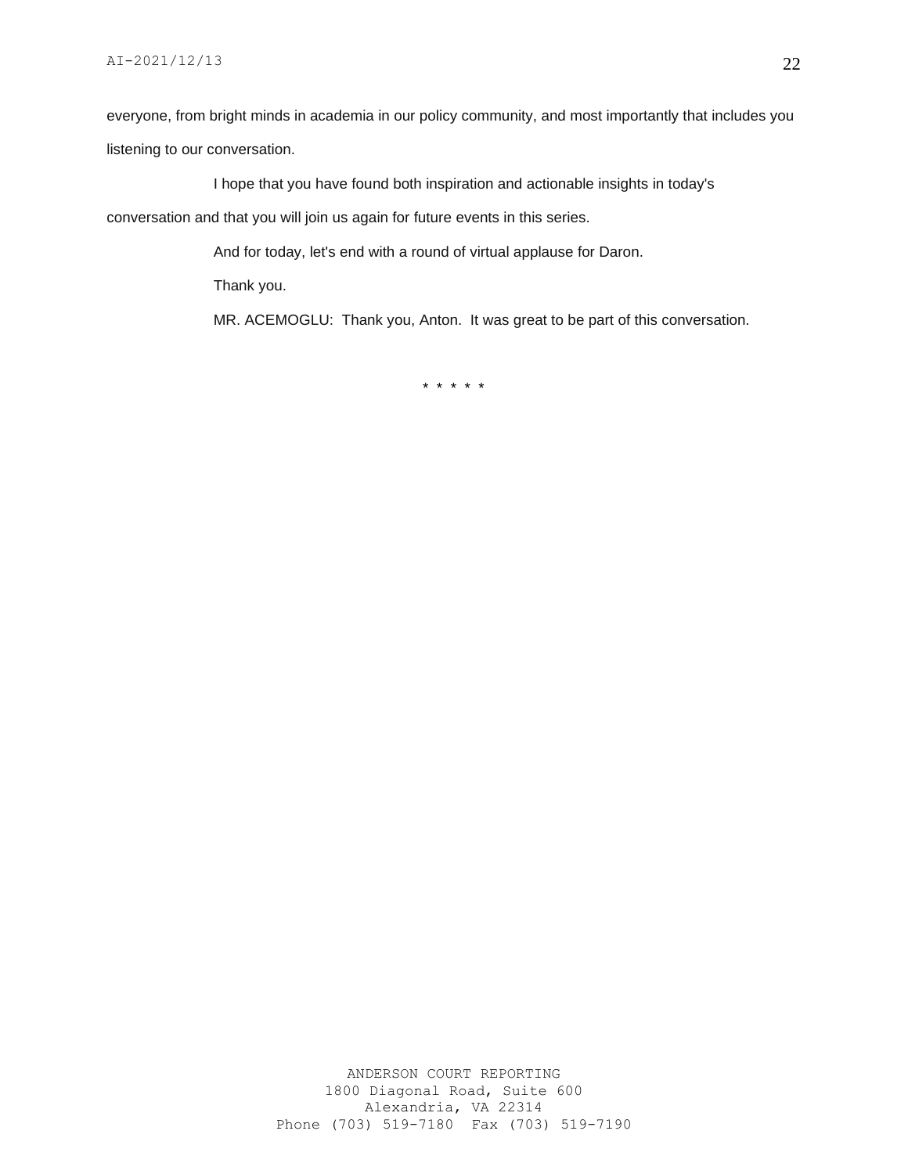everyone, from bright minds in academia in our policy community, and most importantly that includes you listening to our conversation.

I hope that you have found both inspiration and actionable insights in today's conversation and that you will join us again for future events in this series.

And for today, let's end with a round of virtual applause for Daron.

Thank you.

MR. ACEMOGLU: Thank you, Anton. It was great to be part of this conversation.

\* \* \* \* \*